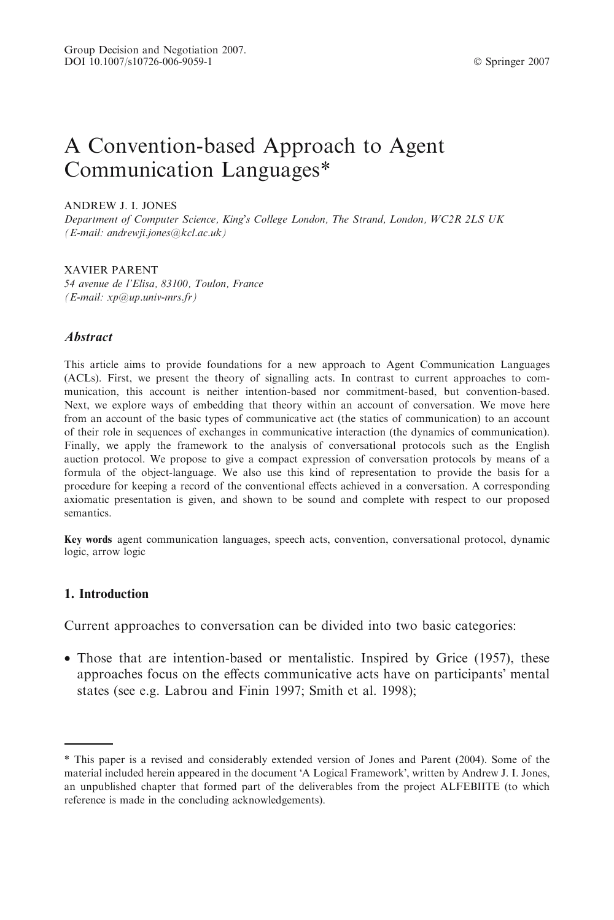# A Convention-based Approach to Agent Communication Languages\*

### ANDREW J. I. JONES

Department of Computer Science, King's College London, The Strand, London, WC2R 2LS UK (E-mail: andrewji.jones@kcl.ac.uk)

XAVIER PARENT

54 avenue de l'Elisa, 83100, Toulon, France  $(E-mail: xp@up.univ-mrs.fr)$ 

### Abstract

This article aims to provide foundations for a new approach to Agent Communication Languages (ACLs). First, we present the theory of signalling acts. In contrast to current approaches to communication, this account is neither intention-based nor commitment-based, but convention-based. Next, we explore ways of embedding that theory within an account of conversation. We move here from an account of the basic types of communicative act (the statics of communication) to an account of their role in sequences of exchanges in communicative interaction (the dynamics of communication). Finally, we apply the framework to the analysis of conversational protocols such as the English auction protocol. We propose to give a compact expression of conversation protocols by means of a formula of the object-language. We also use this kind of representation to provide the basis for a procedure for keeping a record of the conventional effects achieved in a conversation. A corresponding axiomatic presentation is given, and shown to be sound and complete with respect to our proposed semantics.

Key words agent communication languages, speech acts, convention, conversational protocol, dynamic logic, arrow logic

### 1. Introduction

Current approaches to conversation can be divided into two basic categories:

• Those that are intention-based or mentalistic. Inspired by Grice (1957), these approaches focus on the effects communicative acts have on participants' mental states (see e.g. Labrou and Finin 1997; Smith et al. 1998);

<sup>\*</sup> This paper is a revised and considerably extended version of Jones and Parent (2004). Some of the material included herein appeared in the document 'A Logical Framework', written by Andrew J. I. Jones, an unpublished chapter that formed part of the deliverables from the project ALFEBIITE (to which reference is made in the concluding acknowledgements).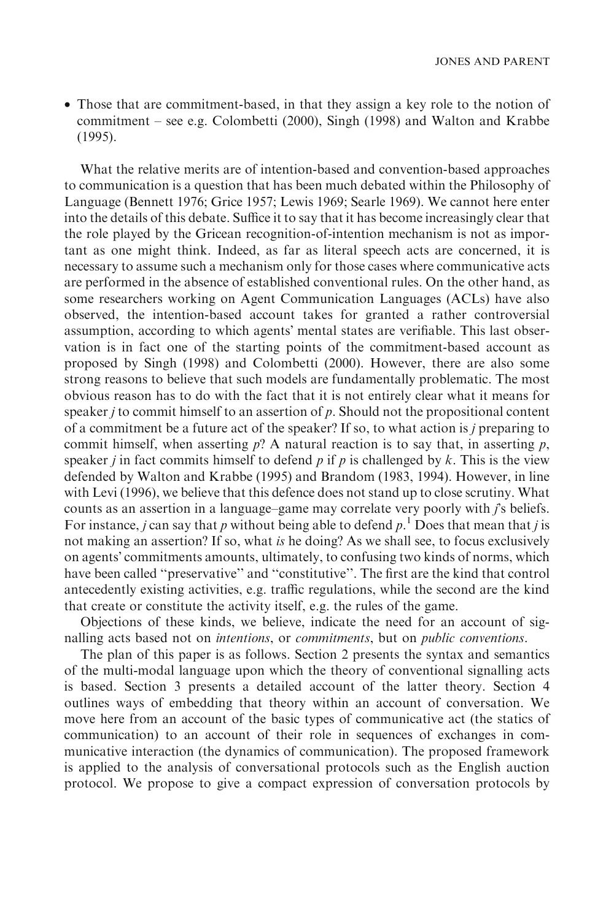• Those that are commitment-based, in that they assign a key role to the notion of commitment – see e.g. Colombetti (2000), Singh (1998) and Walton and Krabbe (1995).

What the relative merits are of intention-based and convention-based approaches to communication is a question that has been much debated within the Philosophy of Language (Bennett 1976; Grice 1957; Lewis 1969; Searle 1969). We cannot here enter into the details of this debate. Suffice it to say that it has become increasingly clear that the role played by the Gricean recognition-of-intention mechanism is not as important as one might think. Indeed, as far as literal speech acts are concerned, it is necessary to assume such a mechanism only for those cases where communicative acts are performed in the absence of established conventional rules. On the other hand, as some researchers working on Agent Communication Languages (ACLs) have also observed, the intention-based account takes for granted a rather controversial assumption, according to which agents' mental states are verifiable. This last observation is in fact one of the starting points of the commitment-based account as proposed by Singh (1998) and Colombetti (2000). However, there are also some strong reasons to believe that such models are fundamentally problematic. The most obvious reason has to do with the fact that it is not entirely clear what it means for speaker  $j$  to commit himself to an assertion of  $p$ . Should not the propositional content of a commitment be a future act of the speaker? If so, to what action is j preparing to commit himself, when asserting  $p$ ? A natural reaction is to say that, in asserting p, speaker *j* in fact commits himself to defend *p* if *p* is challenged by k. This is the view defended by Walton and Krabbe (1995) and Brandom (1983, 1994). However, in line with Levi (1996), we believe that this defence does not stand up to close scrutiny. What counts as an assertion in a language–game may correlate very poorly with  $\hat{j}$ s beliefs. For instance, j can say that p without being able to defend  $p<sup>1</sup>$  Does that mean that j is not making an assertion? If so, what is he doing? As we shall see, to focus exclusively on agents commitments amounts, ultimately, to confusing two kinds of norms, which have been called ''preservative'' and ''constitutive''. The first are the kind that control antecedently existing activities, e.g. traffic regulations, while the second are the kind that create or constitute the activity itself, e.g. the rules of the game.

Objections of these kinds, we believe, indicate the need for an account of signalling acts based not on intentions, or commitments, but on public conventions.

The plan of this paper is as follows. Section 2 presents the syntax and semantics of the multi-modal language upon which the theory of conventional signalling acts is based. Section 3 presents a detailed account of the latter theory. Section 4 outlines ways of embedding that theory within an account of conversation. We move here from an account of the basic types of communicative act (the statics of communication) to an account of their role in sequences of exchanges in communicative interaction (the dynamics of communication). The proposed framework is applied to the analysis of conversational protocols such as the English auction protocol. We propose to give a compact expression of conversation protocols by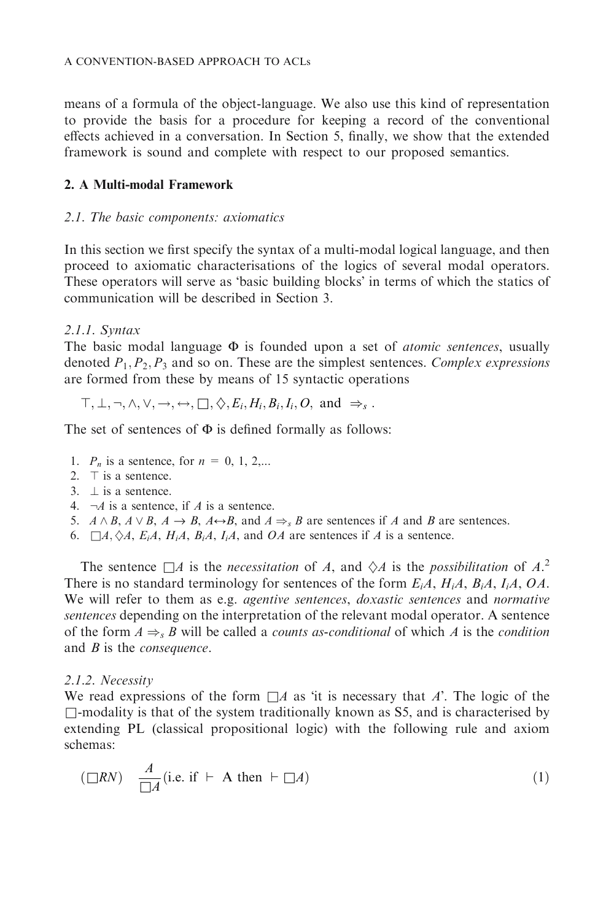means of a formula of the object-language. We also use this kind of representation to provide the basis for a procedure for keeping a record of the conventional effects achieved in a conversation. In Section 5, finally, we show that the extended framework is sound and complete with respect to our proposed semantics.

# 2. A Multi-modal Framework

# 2.1. The basic components: axiomatics

In this section we first specify the syntax of a multi-modal logical language, and then proceed to axiomatic characterisations of the logics of several modal operators. These operators will serve as 'basic building blocks' in terms of which the statics of communication will be described in Section 3.

# 2.1.1. Syntax

The basic modal language  $\Phi$  is founded upon a set of *atomic sentences*, usually denoted  $P_1$ ,  $P_2$ ,  $P_3$  and so on. These are the simplest sentences. Complex expressions are formed from these by means of 15 syntactic operations

$$
\top, \bot, \neg, \land, \lor, \rightarrow, \leftrightarrow, \square, \Diamond, E_i, H_i, B_i, I_i, O, \text{ and } \Rightarrow_s.
$$

The set of sentences of  $\Phi$  is defined formally as follows:

- 1.  $P_n$  is a sentence, for  $n = 0, 1, 2,...$
- 2.  $\top$  is a sentence.
- 3.  $\perp$  is a sentence.
- 4.  $\neg A$  is a sentence, if A is a sentence.
- 5.  $A \wedge B$ ,  $A \vee B$ ,  $A \rightarrow B$ ,  $A \leftrightarrow B$ , and  $A \Rightarrow B$  are sentences if A and B are sentences.
- 6.  $\Box A$ ,  $\Diamond A$ ,  $E_iA$ ,  $H_iA$ ,  $B_iA$ ,  $I_iA$ , and  $OA$  are sentences if A is a sentence.

The sentence  $\Box A$  is the *necessitation* of A, and  $\diamond A$  is the *possibilitation* of  $A$ <sup>2</sup> There is no standard terminology for sentences of the form  $E_iA$ ,  $H_iA$ ,  $B_iA$ ,  $I_iA$ ,  $OA$ . We will refer to them as e.g. *agentive sentences*, *doxastic sentences* and *normative* sentences depending on the interpretation of the relevant modal operator. A sentence of the form  $A \Rightarrow_{s} B$  will be called a *counts as-conditional* of which A is the *condition* and *B* is the *consequence*.

# 2.1.2. Necessity

We read expressions of the form  $\Box A$  as 'it is necessary that A'. The logic of the  $\Box$ -modality is that of the system traditionally known as S5, and is characterised by extending PL (classical propositional logic) with the following rule and axiom schemas:

$$
(\Box RN) \quad \frac{A}{\Box A} \text{(i.e. if } \vdash A \text{ then } \vdash \Box A) \tag{1}
$$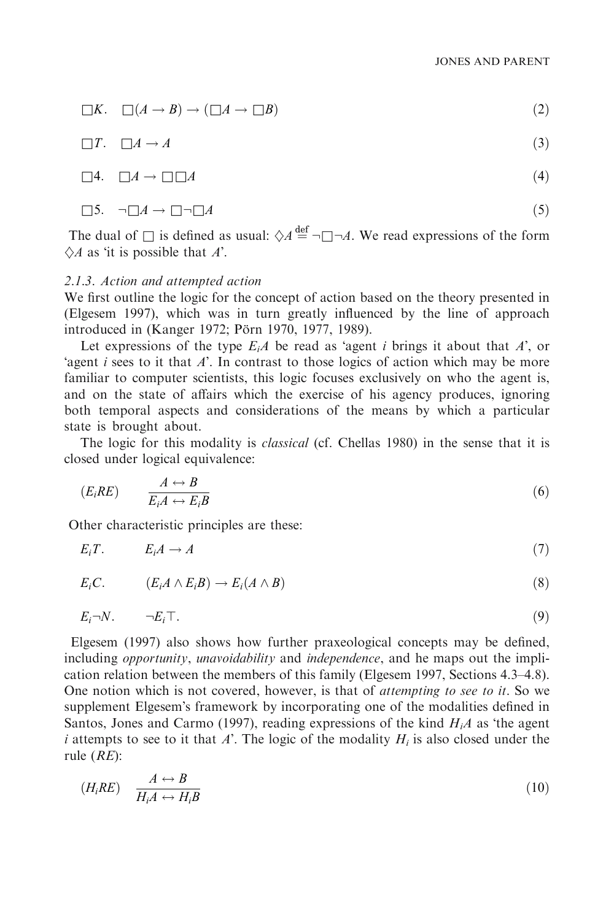$\Box K. \quad \Box (A \rightarrow B) \rightarrow (\Box A \rightarrow \Box B)$ (2)

$$
\Box T. \quad \Box A \to A \tag{3}
$$

$$
\Box 4. \quad \Box A \rightarrow \Box \Box A \tag{4}
$$

$$
\Box 5. \quad \neg \Box A \to \Box \neg \Box A \tag{5}
$$

The dual of  $\Box$  is defined as usual:  $\Diamond A \stackrel{\text{def}}{=} \neg \Box \neg A$ . We read expressions of the form  $\diamondsuit A$  as 'it is possible that A'.

### 2.1.3. Action and attempted action

We first outline the logic for the concept of action based on the theory presented in (Elgesem 1997), which was in turn greatly influenced by the line of approach introduced in (Kanger 1972; Pörn 1970, 1977, 1989).

Let expressions of the type  $E_iA$  be read as 'agent *i* brings it about that A', or 'agent *i* sees to it that  $A$ '. In contrast to those logics of action which may be more familiar to computer scientists, this logic focuses exclusively on who the agent is, and on the state of affairs which the exercise of his agency produces, ignoring both temporal aspects and considerations of the means by which a particular state is brought about.

The logic for this modality is *classical* (cf. Chellas 1980) in the sense that it is closed under logical equivalence:

$$
(E_i R E) \qquad \frac{A \leftrightarrow B}{E_i A \leftrightarrow E_i B} \tag{6}
$$

Other characteristic principles are these:

$$
E_i T. \t E_i A \to A \t (7)
$$

$$
E_i C. \t\t (E_i A \wedge E_i B) \to E_i (A \wedge B) \t\t (8)
$$

$$
E_i \neg N. \qquad \neg E_i \top. \tag{9}
$$

Elgesem (1997) also shows how further praxeological concepts may be defined, including *opportunity*, *unavoidability* and *independence*, and he maps out the implication relation between the members of this family (Elgesem 1997, Sections 4.3–4.8). One notion which is not covered, however, is that of attempting to see to it. So we supplement Elgesem's framework by incorporating one of the modalities defined in Santos, Jones and Carmo (1997), reading expressions of the kind  $H_iA$  as 'the agent i attempts to see to it that A. The logic of the modality  $H_i$  is also closed under the rule  $(RE)$ :

$$
(H_i R E) \quad \frac{A \leftrightarrow B}{H_i A \leftrightarrow H_i B} \tag{10}
$$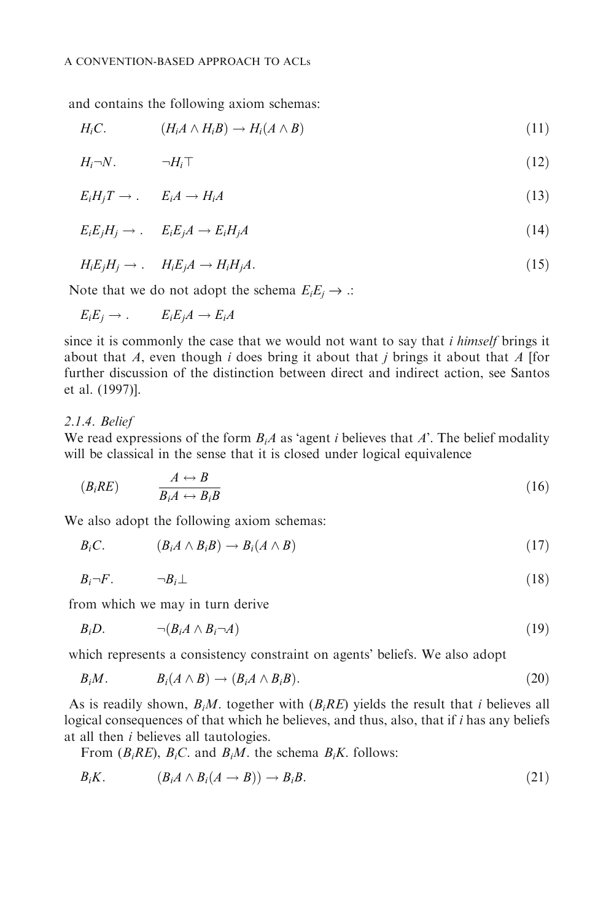and contains the following axiom schemas:

$$
H_iC. \t\t (H_iA \wedge H_iB) \to H_i(A \wedge B) \t\t (11)
$$

$$
H_i \neg N. \qquad \neg H_i \top \tag{12}
$$

$$
E_i H_j T \to . \qquad E_i A \to H_i A \tag{13}
$$

$$
E_i E_j H_j \to . \qquad E_i E_j A \to E_i H_j A \tag{14}
$$

$$
H_i E_j H_j \to . \quad H_i E_j A \to H_i H_j A. \tag{15}
$$

Note that we do not adopt the schema  $E_i E_j \rightarrow$  .:

$$
E_i E_j \to . \qquad E_i E_j A \to E_i A
$$

since it is commonly the case that we would not want to say that  $i$  himself brings it about that A, even though i does bring it about that j brings it about that  $\overline{A}$  [for further discussion of the distinction between direct and indirect action, see Santos et al. (1997)].

## 2.1.4. Belief

We read expressions of the form  $B_iA$  as 'agent *i* believes that A'. The belief modality will be classical in the sense that it is closed under logical equivalence

$$
(B_iRE) \qquad \qquad \frac{A \leftrightarrow B}{B_i A \leftrightarrow B_i B} \tag{16}
$$

We also adopt the following axiom schemas:

$$
B_i C. \qquad (B_i A \wedge B_i B) \rightarrow B_i (A \wedge B) \tag{17}
$$

$$
B_i \neg F. \qquad \neg B_i \bot \tag{18}
$$

from which we may in turn derive

$$
B_i D. \t\t (B_i A \wedge B_i \neg A) \t\t (19)
$$

which represents a consistency constraint on agents' beliefs. We also adopt

$$
B_i M. \t B_i(A \wedge B) \to (B_i A \wedge B_i B). \t (20)
$$

As is readily shown,  $B_iM$ . together with  $(B_iRE)$  yields the result that i believes all logical consequences of that which he believes, and thus, also, that if  $i$  has any beliefs at all then i believes all tautologies.

From  $(B_i RE)$ ,  $B_i C$ . and  $B_i M$ . the schema  $B_i K$ . follows:

$$
B_iK. \t\t (B_iA \wedge B_i(A \rightarrow B)) \rightarrow B_iB. \t\t (21)
$$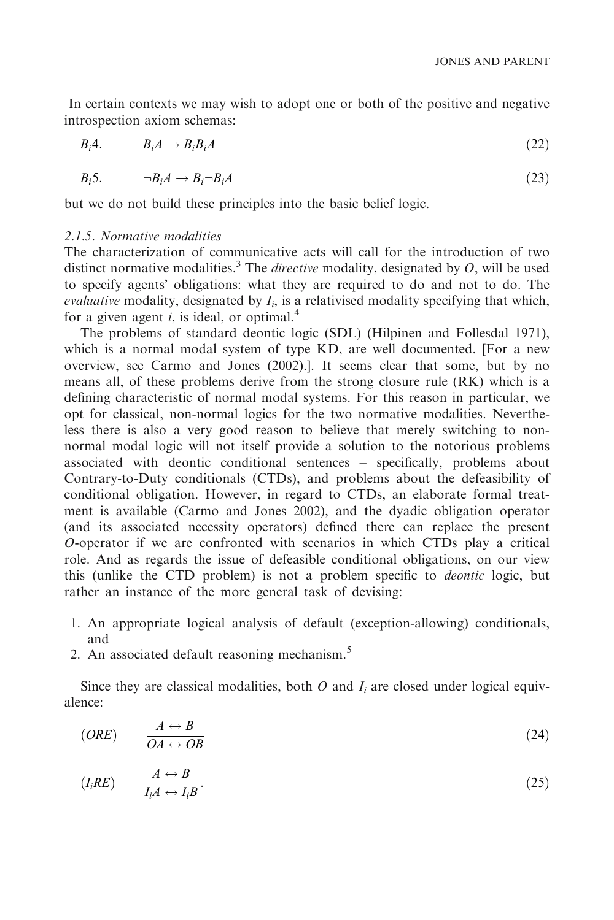In certain contexts we may wish to adopt one or both of the positive and negative introspection axiom schemas:

$$
B_i A. \t B_i A \to B_i B_i A \t (22)
$$

Bi5: :BiA ! Bi:BiA ð23Þ

but we do not build these principles into the basic belief logic.

# 2.1.5. Normative modalities

The characterization of communicative acts will call for the introduction of two distinct normative modalities.<sup>3</sup> The *directive* modality, designated by O, will be used to specify agents' obligations: what they are required to do and not to do. The evaluative modality, designated by  $I_i$ , is a relativised modality specifying that which, for a given agent *i*, is ideal, or optimal.<sup>4</sup>

The problems of standard deontic logic (SDL) (Hilpinen and Follesdal 1971), which is a normal modal system of type KD, are well documented. [For a new overview, see Carmo and Jones (2002).]. It seems clear that some, but by no means all, of these problems derive from the strong closure rule (RK) which is a defining characteristic of normal modal systems. For this reason in particular, we opt for classical, non-normal logics for the two normative modalities. Nevertheless there is also a very good reason to believe that merely switching to nonnormal modal logic will not itself provide a solution to the notorious problems associated with deontic conditional sentences – specifically, problems about Contrary-to-Duty conditionals (CTDs), and problems about the defeasibility of conditional obligation. However, in regard to CTDs, an elaborate formal treatment is available (Carmo and Jones 2002), and the dyadic obligation operator (and its associated necessity operators) defined there can replace the present O-operator if we are confronted with scenarios in which CTDs play a critical role. And as regards the issue of defeasible conditional obligations, on our view this (unlike the CTD problem) is not a problem specific to deontic logic, but rather an instance of the more general task of devising:

- 1. An appropriate logical analysis of default (exception-allowing) conditionals, and
- 2. An associated default reasoning mechanism.<sup>5</sup>

Since they are classical modalities, both  $O$  and  $I_i$  are closed under logical equivalence:

$$
(ORE) \qquad \frac{A \leftrightarrow B}{OA \leftrightarrow OB} \tag{24}
$$

$$
(I_iRE) \qquad \frac{A \leftrightarrow B}{I_iA \leftrightarrow I_iB}.\tag{25}
$$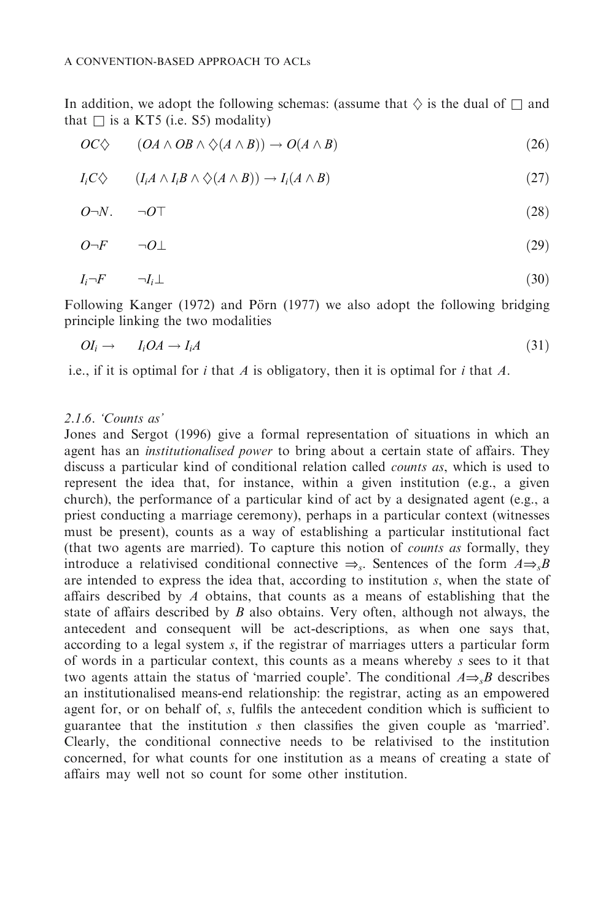In addition, we adopt the following schemas: (assume that  $\diamondsuit$  is the dual of  $\Box$  and that  $\Box$  is a KT5 (i.e. S5) modality)

$$
OC\diamondsuit \qquad (OA \wedge OB \wedge \diamondsuit (A \wedge B)) \rightarrow O(A \wedge B) \tag{26}
$$

$$
I_i C \diamondsuit \qquad (I_i A \wedge I_i B \wedge \diamondsuit (A \wedge B)) \rightarrow I_i (A \wedge B) \tag{27}
$$

$$
O \neg N. \qquad \neg O \top \tag{28}
$$

$$
O \neg F \qquad \neg O \bot \tag{29}
$$

$$
I_i \neg F \qquad \neg I_i \perp \tag{30}
$$

Following Kanger (1972) and Pörn (1977) we also adopt the following bridging principle linking the two modalities

$$
OI_i \rightarrow I_iOA \rightarrow I_iA \tag{31}
$$

i.e., if it is optimal for i that A is obligatory, then it is optimal for i that A.

### 2.1.6. 'Counts as'

Jones and Sergot (1996) give a formal representation of situations in which an agent has an institutionalised power to bring about a certain state of affairs. They discuss a particular kind of conditional relation called counts as, which is used to represent the idea that, for instance, within a given institution (e.g., a given church), the performance of a particular kind of act by a designated agent (e.g., a priest conducting a marriage ceremony), perhaps in a particular context (witnesses must be present), counts as a way of establishing a particular institutional fact (that two agents are married). To capture this notion of counts as formally, they introduce a relativised conditional connective  $\Rightarrow$ <sub>s</sub>. Sentences of the form  $A\Rightarrow$ <sub>s</sub>B are intended to express the idea that, according to institution s, when the state of affairs described by  $\tilde{A}$  obtains, that counts as a means of establishing that the state of affairs described by  $B$  also obtains. Very often, although not always, the antecedent and consequent will be act-descriptions, as when one says that, according to a legal system s, if the registrar of marriages utters a particular form of words in a particular context, this counts as a means whereby s sees to it that two agents attain the status of 'married couple'. The conditional  $A\Rightarrow_{s} B$  describes an institutionalised means-end relationship: the registrar, acting as an empowered agent for, or on behalf of, s, fulfils the antecedent condition which is sufficient to guarantee that the institution  $s$  then classifies the given couple as 'married'. Clearly, the conditional connective needs to be relativised to the institution concerned, for what counts for one institution as a means of creating a state of affairs may well not so count for some other institution.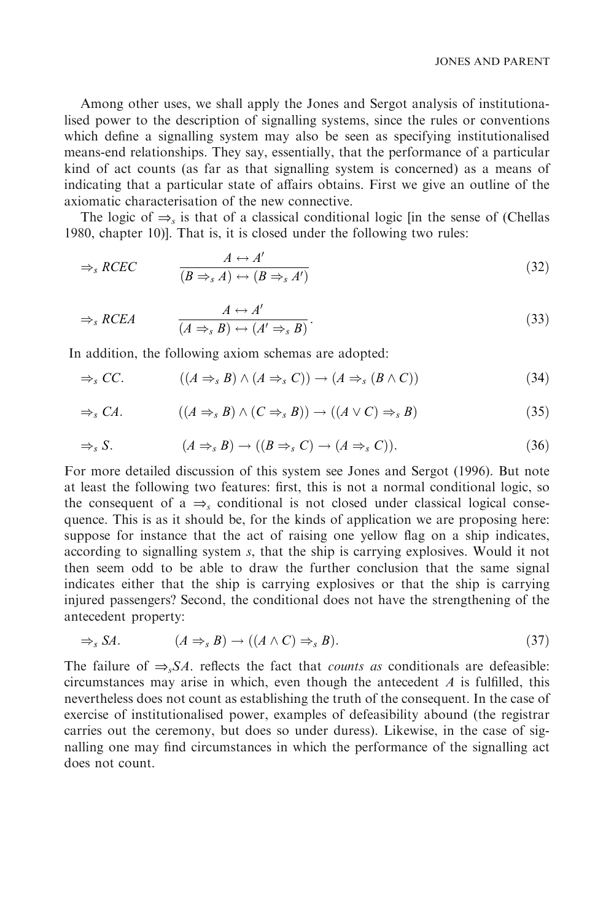Among other uses, we shall apply the Jones and Sergot analysis of institutionalised power to the description of signalling systems, since the rules or conventions which define a signalling system may also be seen as specifying institutionalised means-end relationships. They say, essentially, that the performance of a particular kind of act counts (as far as that signalling system is concerned) as a means of indicating that a particular state of affairs obtains. First we give an outline of the axiomatic characterisation of the new connective.

The logic of  $\Rightarrow$ <sub>s</sub> is that of a classical conditional logic [in the sense of (Chellas 1980, chapter 10)]. That is, it is closed under the following two rules:

$$
\Rightarrow_{s} \text{RCEC} \qquad \qquad \frac{A \leftrightarrow A'}{(B \Rightarrow_{s} A) \leftrightarrow (B \Rightarrow_{s} A')} \tag{32}
$$

$$
\Rightarrow_{s} RCEA \qquad \qquad \frac{A \leftrightarrow A'}{(A \Rightarrow_{s} B) \leftrightarrow (A' \Rightarrow_{s} B)}.
$$
\n
$$
(33)
$$

In addition, the following axiom schemas are adopted:

$$
\Rightarrow_{s} CC. \qquad ((A \Rightarrow_{s} B) \land (A \Rightarrow_{s} C)) \rightarrow (A \Rightarrow_{s} (B \land C)) \tag{34}
$$

 $\Rightarrow_s CA.$   $((A \Rightarrow_s B) \land (C \Rightarrow_s B)) \rightarrow ((A \lor C) \Rightarrow_s B)$  (35)

$$
\Rightarrow_{s} S. \qquad (A \Rightarrow_{s} B) \rightarrow ((B \Rightarrow_{s} C) \rightarrow (A \Rightarrow_{s} C)). \qquad (36)
$$

For more detailed discussion of this system see Jones and Sergot (1996). But note at least the following two features: first, this is not a normal conditional logic, so the consequent of a  $\Rightarrow$ <sub>s</sub> conditional is not closed under classical logical consequence. This is as it should be, for the kinds of application we are proposing here: suppose for instance that the act of raising one yellow flag on a ship indicates, according to signalling system s, that the ship is carrying explosives. Would it not then seem odd to be able to draw the further conclusion that the same signal indicates either that the ship is carrying explosives or that the ship is carrying injured passengers? Second, the conditional does not have the strengthening of the antecedent property:

$$
\Rightarrow_{s} SA. \qquad (A \Rightarrow_{s} B) \rightarrow ((A \wedge C) \Rightarrow_{s} B). \tag{37}
$$

The failure of  $\Rightarrow_{s} SA$ . reflects the fact that *counts as* conditionals are defeasible: circumstances may arise in which, even though the antecedent  $A$  is fulfilled, this nevertheless does not count as establishing the truth of the consequent. In the case of exercise of institutionalised power, examples of defeasibility abound (the registrar carries out the ceremony, but does so under duress). Likewise, in the case of signalling one may find circumstances in which the performance of the signalling act does not count.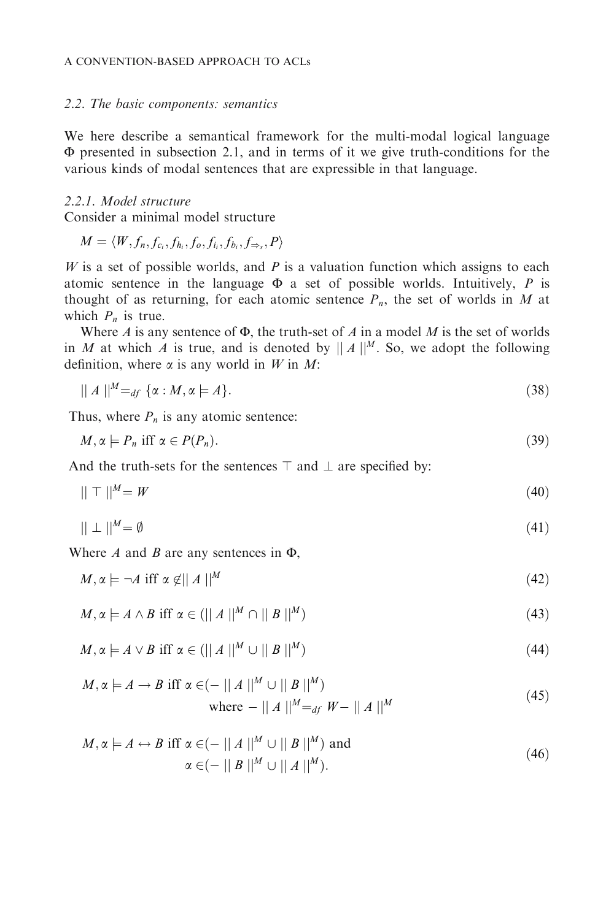### A CONVENTION-BASED APPROACH TO ACLs

### 2.2. The basic components: semantics

We here describe a semantical framework for the multi-modal logical language  $\Phi$  presented in subsection 2.1, and in terms of it we give truth-conditions for the various kinds of modal sentences that are expressible in that language.

# 2.2.1. Model structure

Consider a minimal model structure

$$
M = \langle W, f_n, f_{c_i}, f_{h_i}, f_o, f_{i_i}, f_{b_i}, f_{\Rightarrow_s}, P \rangle
$$

 $W$  is a set of possible worlds, and  $P$  is a valuation function which assigns to each atomic sentence in the language  $\Phi$  a set of possible worlds. Intuitively, P is thought of as returning, for each atomic sentence  $P_n$ , the set of worlds in M at which  $P_n$  is true.

Where  $A$  is any sentence of  $\Phi$ , the truth-set of  $A$  in a model  $M$  is the set of worlds in M at which A is true, and is denoted by  $||A||^M$ . So, we adopt the following definition, where  $\alpha$  is any world in W in M:

$$
||A||^M =_{df} {\alpha : M, \alpha \models A}.
$$
\n
$$
(38)
$$

Thus, where  $P_n$  is any atomic sentence:

$$
M, \alpha \models P_n \text{ iff } \alpha \in P(P_n). \tag{39}
$$

And the truth-sets for the sentences  $\top$  and  $\bot$  are specified by:

$$
||\top||^M = W \tag{40}
$$

$$
|| \perp ||^M = \emptyset \tag{41}
$$

Where  $A$  and  $B$  are any sentences in  $\Phi$ ,

$$
M, \alpha \models \neg A \text{ iff } \alpha \not\in ||A||^M \tag{42}
$$

$$
M, \alpha \models A \land B \text{ iff } \alpha \in (||A||^M \cap ||B||^M) \tag{43}
$$

$$
M, \alpha \models A \lor B \text{ iff } \alpha \in (||A||^M \cup ||B||^M) \tag{44}
$$

$$
M, \alpha \models A \to B \text{ iff } \alpha \in (- \parallel A \parallel^{M} \cup \parallel B \parallel^{M})
$$
  
where  $- \parallel A \parallel^{M} =_{df} W - \parallel A \parallel^{M}$  (45)

$$
M, \alpha \models A \leftrightarrow B \text{ iff } \alpha \in (- \parallel A \parallel^{M} \cup \parallel B \parallel^{M}) \text{ and}
$$
  

$$
\alpha \in (- \parallel B \parallel^{M} \cup \parallel A \parallel^{M}).
$$
 (46)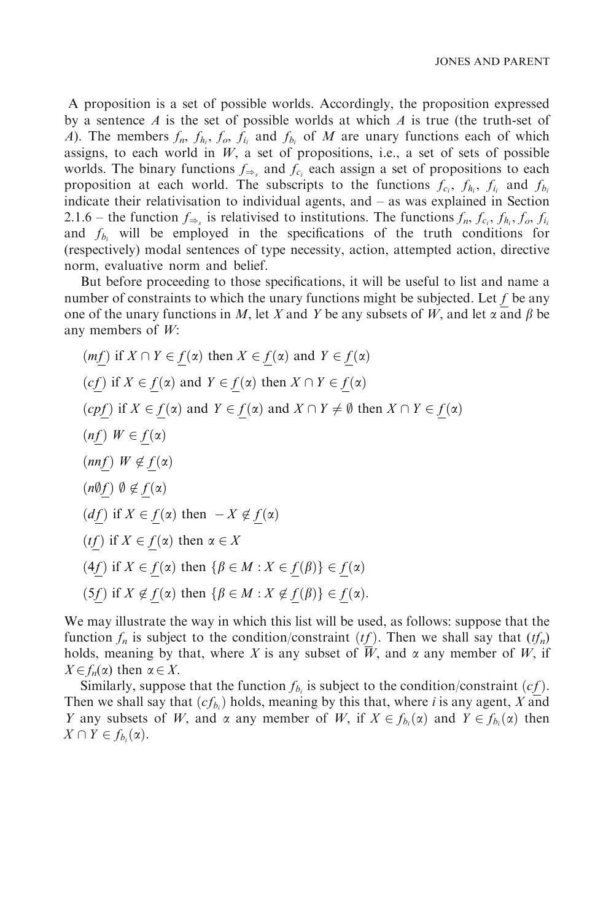A proposition is a set of possible worlds. Accordingly, the proposition expressed by a sentence  $\vec{A}$  is the set of possible worlds at which  $\vec{A}$  is true (the truth-set of A). The members  $f_n$ ,  $f_{h_i}$ ,  $f_o$ ,  $f_{i_i}$  and  $f_{b_i}$  of M are unary functions each of which assigns, to each world in  $W$ , a set of propositions, i.e., a set of sets of possible worlds. The binary functions  $f_{\Rightarrow s}$  and  $f_{c_i}$  each assign a set of propositions to each proposition at each world. The subscripts to the functions  $f_{c_i}, f_{h_i}, f_{i_i}$  and  $f_{b_i}$ indicate their relativisation to individual agents, and – as was explained in Section 2.1.6 – the function  $f_{\Rightarrow_s}$  is relativised to institutions. The functions  $f_n$ ,  $f_{c_i}$ ,  $f_{h_i}$ ,  $f_o$ ,  $f_{i}$ and  $f_b$  will be employed in the specifications of the truth conditions for (respectively) modal sentences of type necessity, action, attempted action, directive norm, evaluative norm and belief.

But before proceeding to those specifications, it will be useful to list and name a number of constraints to which the unary functions might be subjected. Let  $f$  be any one of the unary functions in M, let X and Y be any subsets of W, and let  $\alpha$  and  $\beta$  be any members of W:

$$
(m\underline{f}) \text{ if } X \cap Y \in \underline{f}(\alpha) \text{ then } X \in \underline{f}(\alpha) \text{ and } Y \in \underline{f}(\alpha)
$$
\n
$$
(cf) \text{ if } X \in \underline{f}(\alpha) \text{ and } Y \in \underline{f}(\alpha) \text{ then } X \cap Y \in \underline{f}(\alpha)
$$
\n
$$
(cp\underline{f}) \text{ if } X \in \underline{f}(\alpha) \text{ and } Y \in \underline{f}(\alpha) \text{ and } X \cap Y \neq \emptyset \text{ then } X \cap Y \in \underline{f}(\alpha)
$$
\n
$$
(nf) \quad W \notin \underline{f}(\alpha)
$$
\n
$$
(nf) \quad W \notin \underline{f}(\alpha)
$$
\n
$$
(df) \text{ if } X \in \underline{f}(\alpha) \text{ then } -X \notin \underline{f}(\alpha)
$$
\n
$$
(tf) \text{ if } X \in \underline{f}(\alpha) \text{ then } \alpha \in X
$$
\n
$$
(4\underline{f}) \text{ if } X \in \underline{f}(\alpha) \text{ then } \{\beta \in M : X \in \underline{f}(\beta)\} \in \underline{f}(\alpha)
$$
\n
$$
(5\underline{f}) \text{ if } X \notin \underline{f}(\alpha) \text{ then } \{\beta \in M : X \notin \underline{f}(\beta)\} \in \underline{f}(\alpha).
$$

We may illustrate the way in which this list will be used, as follows: suppose that the function  $f_n$  is subject to the condition/constraint (*tf*). Then we shall say that (*tf<sub>n</sub>*) holds, meaning by that, where X is any subset of  $\overline{W}$ , and  $\alpha$  any member of W, if  $X \in f_n(\alpha)$  then  $\alpha \in X$ .

Similarly, suppose that the function  $f_{b_i}$  is subject to the condition/constraint  $(cf)$ . Then we shall say that  $(cf_{b_i})$  holds, meaning by this that, where *i* is any agent, *X* and Y any subsets of W, and  $\alpha$  any member of W, if  $X \in f_{b_i}(\alpha)$  and  $Y \in f_{b_i}(\alpha)$  then  $X \cap Y \in f_{b_i}(\alpha)$ .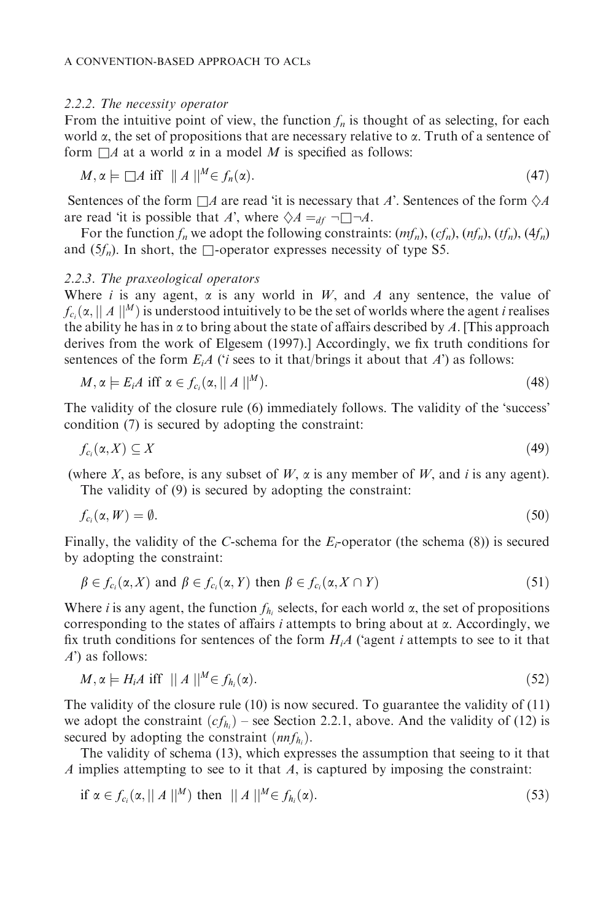### 2.2.2. The necessity operator

From the intuitive point of view, the function  $f_n$  is thought of as selecting, for each world  $\alpha$ , the set of propositions that are necessary relative to  $\alpha$ . Truth of a sentence of form  $\Box A$  at a world  $\alpha$  in a model M is specified as follows:

$$
M, \alpha \models \Box A \text{ iff } \Vert A \Vert^{M} \in f_{n}(\alpha). \tag{47}
$$

Sentences of the form  $\Box A$  are read 'it is necessary that A'. Sentences of the form  $\diamond A$ are read 'it is possible that A', where  $\Diamond A =_{df} \neg \Box \neg A$ .

For the function  $f_n$  we adopt the following constraints:  $(mf_n)$ ,  $(cf_n)$ ,  $(nf_n)$ ,  $(tf_n)$ ,  $(4f_n)$ and  $(5f_n)$ . In short, the  $\Box$ -operator expresses necessity of type S5.

### 2.2.3. The praxeological operators

Where i is any agent,  $\alpha$  is any world in W, and A any sentence, the value of  $f_{c_i}(\alpha, ||A||^M)$  is understood intuitively to be the set of worlds where the agent *i* realises the ability he has in  $\alpha$  to bring about the state of affairs described by A. [This approach derives from the work of Elgesem (1997).] Accordingly, we fix truth conditions for sentences of the form  $E_iA$  (*i* sees to it that/brings it about that *A*<sup> $\prime$ </sup>) as follows:

$$
M, \alpha \models E_i A \text{ iff } \alpha \in f_{c_i}(\alpha, ||A||^M). \tag{48}
$$

The validity of the closure rule (6) immediately follows. The validity of the 'success' condition (7) is secured by adopting the constraint:

$$
f_{c_i}(\alpha, X) \subseteq X \tag{49}
$$

(where X, as before, is any subset of  $W$ ,  $\alpha$  is any member of  $W$ , and i is any agent).

The validity of (9) is secured by adopting the constraint:

$$
f_{c_i}(\alpha, W) = \emptyset. \tag{50}
$$

Finally, the validity of the C-schema for the  $E_i$ -operator (the schema (8)) is secured by adopting the constraint:

$$
\beta \in f_{c_i}(\alpha, X) \text{ and } \beta \in f_{c_i}(\alpha, Y) \text{ then } \beta \in f_{c_i}(\alpha, X \cap Y) \tag{51}
$$

Where *i* is any agent, the function  $f_h$  selects, for each world  $\alpha$ , the set of propositions corresponding to the states of affairs *i* attempts to bring about at  $\alpha$ . Accordingly, we fix truth conditions for sentences of the form  $H_iA$  ('agent *i* attempts to see to it that A) as follows:

$$
M, \alpha \models H_iA \text{ iff } ||A||^M \in f_{h_i}(\alpha). \tag{52}
$$

The validity of the closure rule (10) is now secured. To guarantee the validity of (11) we adopt the constraint  $(cf_{h_i})$  – see Section 2.2.1, above. And the validity of (12) is secured by adopting the constraint  $(mnf_{h_i})$ .

The validity of schema (13), which expresses the assumption that seeing to it that A implies attempting to see to it that  $A$ , is captured by imposing the constraint:

$$
\text{if } \alpha \in f_{c_i}(\alpha, ||A||^M) \text{ then } ||A||^M \in f_{h_i}(\alpha). \tag{53}
$$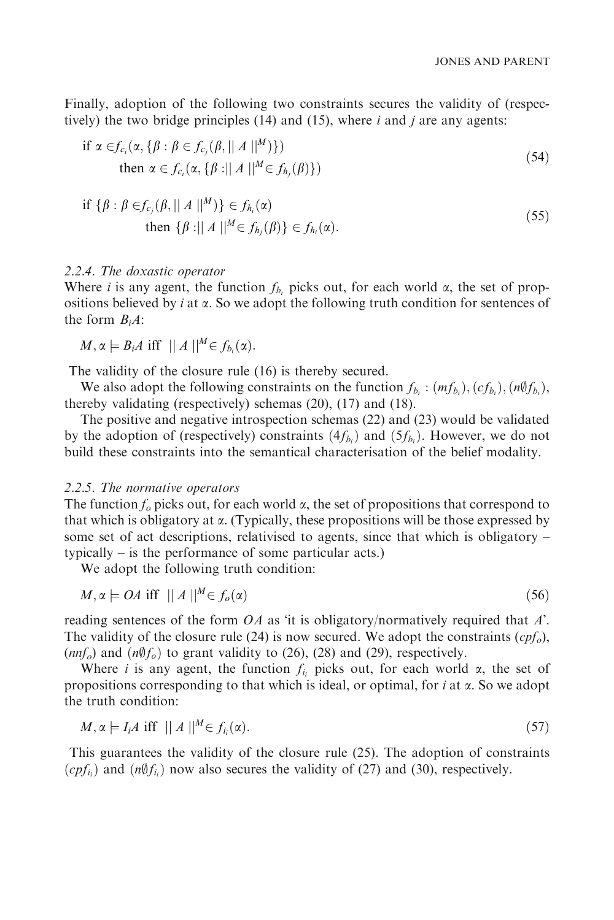Finally, adoption of the following two constraints secures the validity of (respectively) the two bridge principles (14) and (15), where  $i$  and  $j$  are any agents:

if 
$$
\alpha \in f_{c_i}(\alpha, \{\beta : \beta \in f_{c_j}(\beta, ||A||^M)\})
$$
  
then  $\alpha \in f_{c_i}(\alpha, \{\beta : ||A||^M \in f_{h_j}(\beta)\})$  (54)

if 
$$
\{\beta : \beta \in f_{c_j}(\beta, ||A||^M)\} \in f_{h_i}(\alpha)
$$
  
then  $\{\beta : ||A||^M \in f_{h_j}(\beta)\} \in f_{h_i}(\alpha)$ . (55)

### 2.2.4. The doxastic operator

Where *i* is any agent, the function  $f_{b_i}$  picks out, for each world  $\alpha$ , the set of propositions believed by *i* at  $\alpha$ . So we adopt the following truth condition for sentences of the form  $B_iA$ :

$$
M, \alpha \models B_iA \text{ iff } ||A||^M \in f_{b_i}(\alpha).
$$

The validity of the closure rule (16) is thereby secured.

We also adopt the following constraints on the function  $f_{b_i}$ :  $(mf_{b_i})$ ,  $(cf_{b_i})$ ,  $(m\mathcal{F}_{b_i})$ , thereby validating (respectively) schemas (20), (17) and (18).

The positive and negative introspection schemas (22) and (23) would be validated by the adoption of (respectively) constraints  $(4f_{b_i})$  and  $(5f_{b_i})$ . However, we do not build these constraints into the semantical characterisation of the belief modality.

### 2.2.5. The normative operators

The function  $f_{\alpha}$  picks out, for each world  $\alpha$ , the set of propositions that correspond to that which is obligatory at  $\alpha$ . (Typically, these propositions will be those expressed by some set of act descriptions, relativised to agents, since that which is obligatory – typically – is the performance of some particular acts.)

We adopt the following truth condition:

$$
M, \alpha \models OA \text{ iff } ||A||^M \in f_o(\alpha) \tag{56}
$$

reading sentences of the form  $OA$  as 'it is obligatory/normatively required that A'. The validity of the closure rule (24) is now secured. We adopt the constraints  $(cpf<sub>o</sub>)$ ,  $(mf<sub>o</sub>)$  and  $(n\emptyset f<sub>o</sub>)$  to grant validity to (26), (28) and (29), respectively.

Where *i* is any agent, the function  $f_i$  picks out, for each world  $\alpha$ , the set of propositions corresponding to that which is ideal, or optimal, for i at  $\alpha$ . So we adopt the truth condition:

$$
M, \alpha \models I_iA \text{ iff } ||A||^M \in f_{i_i}(\alpha). \tag{57}
$$

This guarantees the validity of the closure rule (25). The adoption of constraints  $(cpf_{i_i})$  and  $(n\emptyset f_{i_i})$  now also secures the validity of (27) and (30), respectively.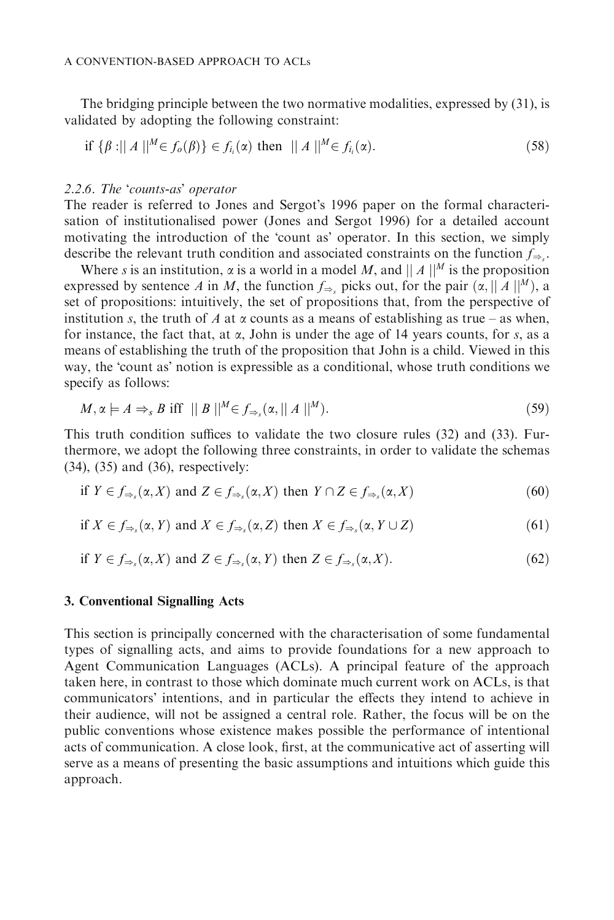The bridging principle between the two normative modalities, expressed by (31), is validated by adopting the following constraint:

if 
$$
\{\beta : || A ||^M \in f_o(\beta)\} \in f_{i_i}(\alpha)
$$
 then  $|| A ||^M \in f_{i_i}(\alpha)$ . (58)

## 2.2.6. The -counts-as operator

The reader is referred to Jones and Sergot's 1996 paper on the formal characterisation of institutionalised power (Jones and Sergot 1996) for a detailed account motivating the introduction of the 'count as' operator. In this section, we simply describe the relevant truth condition and associated constraints on the function  $f_{\Rightarrow}$ .

Where s is an institution,  $\alpha$  is a world in a model M, and  $||A||^M$  is the proposition expressed by sentence A in M, the function  $f_{\Rightarrow}$  picks out, for the pair  $(\alpha, ||A||^M)$ , a set of propositions: intuitively, the set of propositions that, from the perspective of institution s, the truth of A at  $\alpha$  counts as a means of establishing as true – as when, for instance, the fact that, at  $\alpha$ , John is under the age of 14 years counts, for s, as a means of establishing the truth of the proposition that John is a child. Viewed in this way, the 'count as' notion is expressible as a conditional, whose truth conditions we specify as follows:

$$
M, \alpha \models A \Rightarrow_{s} B \text{ iff } \parallel B \parallel^{M} \in f_{\Rightarrow_{s}}(\alpha, \parallel A \parallel^{M}).
$$
\n
$$
(59)
$$

This truth condition suffices to validate the two closure rules (32) and (33). Furthermore, we adopt the following three constraints, in order to validate the schemas (34), (35) and (36), respectively:

if 
$$
Y \in f_{\Rightarrow s}(\alpha, X)
$$
 and  $Z \in f_{\Rightarrow s}(\alpha, X)$  then  $Y \cap Z \in f_{\Rightarrow s}(\alpha, X)$  (60)

if 
$$
X \in f_{\Rightarrow s}(\alpha, Y)
$$
 and  $X \in f_{\Rightarrow s}(\alpha, Z)$  then  $X \in f_{\Rightarrow s}(\alpha, Y \cup Z)$  (61)

if 
$$
Y \in f_{\Rightarrow_s}(\alpha, X)
$$
 and  $Z \in f_{\Rightarrow_s}(\alpha, Y)$  then  $Z \in f_{\Rightarrow_s}(\alpha, X)$ . (62)

### 3. Conventional Signalling Acts

This section is principally concerned with the characterisation of some fundamental types of signalling acts, and aims to provide foundations for a new approach to Agent Communication Languages (ACLs). A principal feature of the approach taken here, in contrast to those which dominate much current work on ACLs, is that communicators' intentions, and in particular the effects they intend to achieve in their audience, will not be assigned a central role. Rather, the focus will be on the public conventions whose existence makes possible the performance of intentional acts of communication. A close look, first, at the communicative act of asserting will serve as a means of presenting the basic assumptions and intuitions which guide this approach.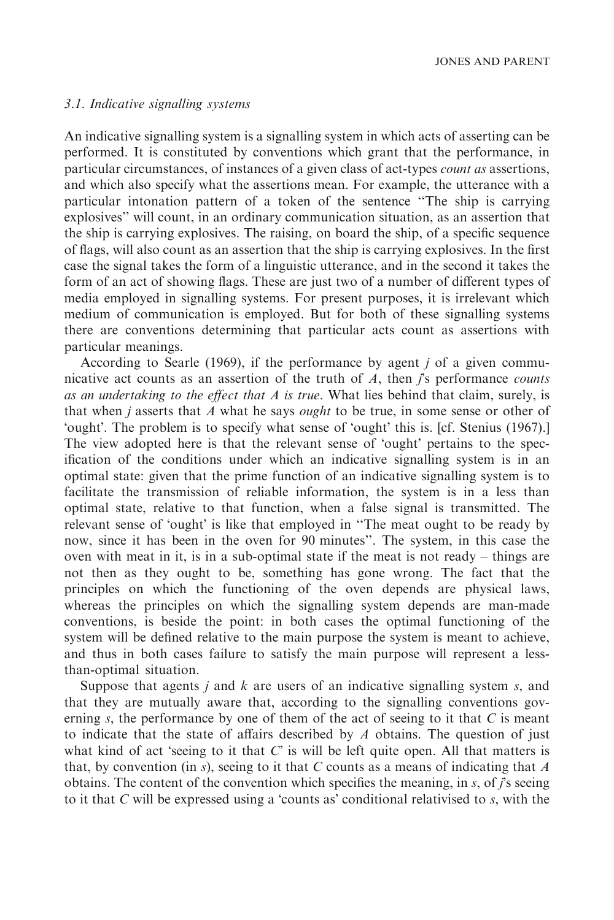### 3.1. Indicative signalling systems

An indicative signalling system is a signalling system in which acts of asserting can be performed. It is constituted by conventions which grant that the performance, in particular circumstances, of instances of a given class of act-types count as assertions, and which also specify what the assertions mean. For example, the utterance with a particular intonation pattern of a token of the sentence ''The ship is carrying explosives'' will count, in an ordinary communication situation, as an assertion that the ship is carrying explosives. The raising, on board the ship, of a specific sequence of flags, will also count as an assertion that the ship is carrying explosives. In the first case the signal takes the form of a linguistic utterance, and in the second it takes the form of an act of showing flags. These are just two of a number of different types of media employed in signalling systems. For present purposes, it is irrelevant which medium of communication is employed. But for both of these signalling systems there are conventions determining that particular acts count as assertions with particular meanings.

According to Searle (1969), if the performance by agent  $j$  of a given communicative act counts as an assertion of the truth of  $A$ , then  $\hat{r}$  performance *counts* as an undertaking to the effect that  $\vec{A}$  is true. What lies behind that claim, surely, is that when j asserts that A what he says *ought* to be true, in some sense or other of 'ought'. The problem is to specify what sense of 'ought' this is. [cf. Stenius (1967).] The view adopted here is that the relevant sense of 'ought' pertains to the specification of the conditions under which an indicative signalling system is in an optimal state: given that the prime function of an indicative signalling system is to facilitate the transmission of reliable information, the system is in a less than optimal state, relative to that function, when a false signal is transmitted. The relevant sense of 'ought' is like that employed in "The meat ought to be ready by now, since it has been in the oven for 90 minutes''. The system, in this case the oven with meat in it, is in a sub-optimal state if the meat is not ready – things are not then as they ought to be, something has gone wrong. The fact that the principles on which the functioning of the oven depends are physical laws, whereas the principles on which the signalling system depends are man-made conventions, is beside the point: in both cases the optimal functioning of the system will be defined relative to the main purpose the system is meant to achieve, and thus in both cases failure to satisfy the main purpose will represent a lessthan-optimal situation.

Suppose that agents  $j$  and  $k$  are users of an indicative signalling system  $s$ , and that they are mutually aware that, according to the signalling conventions governing  $s$ , the performance by one of them of the act of seeing to it that  $C$  is meant to indicate that the state of affairs described by  $A$  obtains. The question of just what kind of act 'seeing to it that  $C$  is will be left quite open. All that matters is that, by convention (in s), seeing to it that C counts as a means of indicating that  $\Lambda$ obtains. The content of the convention which specifies the meaning, in  $s$ , of  $\vec{r}$ s seeing to it that C will be expressed using a 'counts as' conditional relativised to  $s$ , with the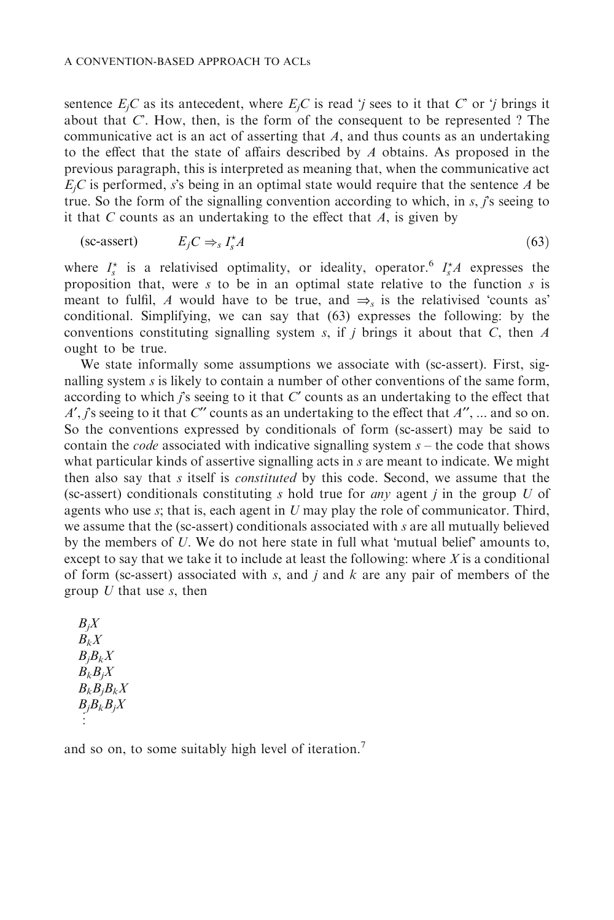sentence  $E_jC$  as its antecedent, where  $E_jC$  is read 'j sees to it that  $C$  or 'j brings it about that  $C$ . How, then, is the form of the consequent to be represented ? The communicative act is an act of asserting that  $A$ , and thus counts as an undertaking to the effect that the state of affairs described by  $A$  obtains. As proposed in the previous paragraph, this is interpreted as meaning that, when the communicative act  $E_i$ C is performed, s's being in an optimal state would require that the sentence A be true. So the form of the signalling convention according to which, in  $s$ ,  $\hat{i}$ s seeing to it that  $C$  counts as an undertaking to the effect that  $A$ , is given by

$$
\text{(sc-assert)} \qquad E_j C \Rightarrow_s I_s^* A \tag{63}
$$

where  $I_s^*$  is a relativised optimality, or ideality, operator.<sup>6</sup>  $I_s^*A$  expresses the proposition that, were s to be in an optimal state relative to the function s is meant to fulfil, A would have to be true, and  $\Rightarrow$  is the relativised 'counts as' conditional. Simplifying, we can say that (63) expresses the following: by the conventions constituting signalling system s, if j brings it about that C, then  $\Lambda$ ought to be true.

We state informally some assumptions we associate with (sc-assert). First, signalling system s is likely to contain a number of other conventions of the same form, according to which  $\hat{j}$ 's seeing to it that  $C'$  counts as an undertaking to the effect that  $A'$ , is seeing to it that C'' counts as an undertaking to the effect that  $A''$ , ... and so on. So the conventions expressed by conditionals of form (sc-assert) may be said to contain the *code* associated with indicative signalling system  $s$  – the code that shows what particular kinds of assertive signalling acts in  $s$  are meant to indicate. We might then also say that s itself is *constituted* by this code. Second, we assume that the (sc-assert) conditionals constituting  $s$  hold true for *any* agent  $j$  in the group  $U$  of agents who use  $s$ ; that is, each agent in U may play the role of communicator. Third, we assume that the (sc-assert) conditionals associated with s are all mutually believed by the members of  $U$ . We do not here state in full what 'mutual belief' amounts to, except to say that we take it to include at least the following: where  $X$  is a conditional of form (sc-assert) associated with s, and j and  $k$  are any pair of members of the group  $U$  that use  $s$ , then

 $B_iX$  $B_kX$  $B_i B_k X$  $B_i B_i X$  $B_kB_iB_kX$  $B_j B_k B_j X$ .

and so on, to some suitably high level of iteration.<sup>7</sup>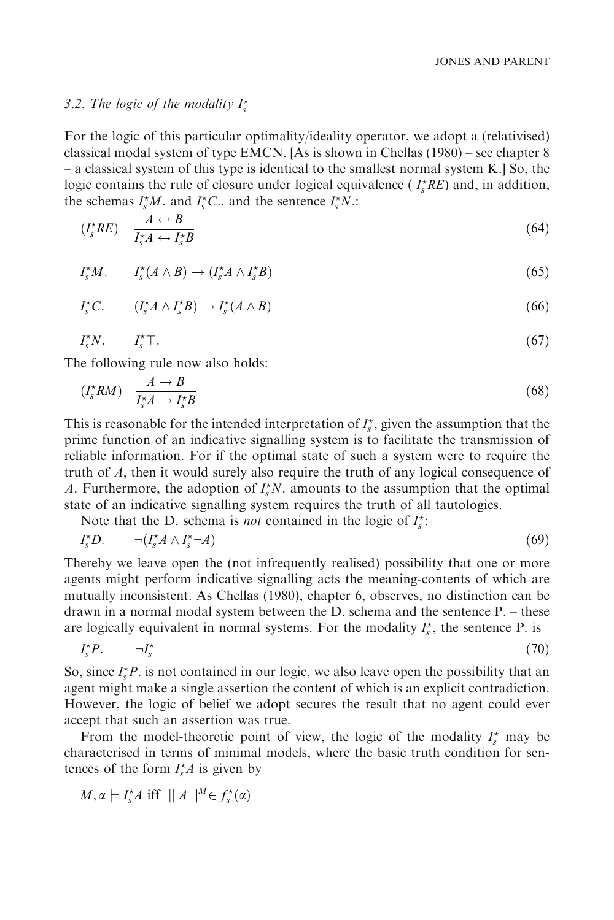# 3.2. The logic of the modality  $I_s^*$

For the logic of this particular optimality/ideality operator, we adopt a (relativised) classical modal system of type EMCN. [As is shown in Chellas (1980) – see chapter 8 – a classical system of this type is identical to the smallest normal system K.] So, the logic contains the rule of closure under logical equivalence ( $I_s^*RE$ ) and, in addition, the schemas  $I_s^*M$ . and  $I_s^*C$ ., and the sentence  $I_s^*N$ .:

$$
(I_s^*RE) \quad \frac{A \leftrightarrow B}{I_s^*A \leftrightarrow I_s^*B} \tag{64}
$$

$$
I_s^* M. \qquad I_s^*(A \wedge B) \to (I_s^* A \wedge I_s^* B) \tag{65}
$$

$$
I_s^{\star}C. \qquad (I_s^{\star}A \wedge I_s^{\star}B) \to I_s^{\star}(A \wedge B) \tag{66}
$$

$$
I_s^* N. \qquad I_s^* \top. \tag{67}
$$

The following rule now also holds:

$$
(I_s^*RM) \quad \frac{A \to B}{I_s^*A \to I_s^*B} \tag{68}
$$

This is reasonable for the intended interpretation of  $I_s^*$ , given the assumption that the prime function of an indicative signalling system is to facilitate the transmission of reliable information. For if the optimal state of such a system were to require the truth of A, then it would surely also require the truth of any logical consequence of A. Furthermore, the adoption of  $I_s^*N$ . amounts to the assumption that the optimal state of an indicative signalling system requires the truth of all tautologies.

Note that the D. schema is *not* contained in the logic of  $I_s^*$ :

$$
I_s^{\star}D. \t-\neg (I_s^{\star}A \wedge I_s^{\star} \neg A) \t\t(69)
$$

Thereby we leave open the (not infrequently realised) possibility that one or more agents might perform indicative signalling acts the meaning-contents of which are mutually inconsistent. As Chellas (1980), chapter 6, observes, no distinction can be drawn in a normal modal system between the D. schema and the sentence P. – these are logically equivalent in normal systems. For the modality  $I_s^*$ , the sentence P. is

$$
I_s^{\star}P. \t -I_s^{\star} \perp \t (70)
$$

So, since  $I_s^*P$  is not contained in our logic, we also leave open the possibility that an agent might make a single assertion the content of which is an explicit contradiction. However, the logic of belief we adopt secures the result that no agent could ever accept that such an assertion was true.

From the model-theoretic point of view, the logic of the modality  $I_s^*$  may be characterised in terms of minimal models, where the basic truth condition for sentences of the form  $I_s^*A$  is given by

$$
M, \alpha \models I_s^{\star} A \text{ iff } || A ||^M \in f_s^{\star}(\alpha)
$$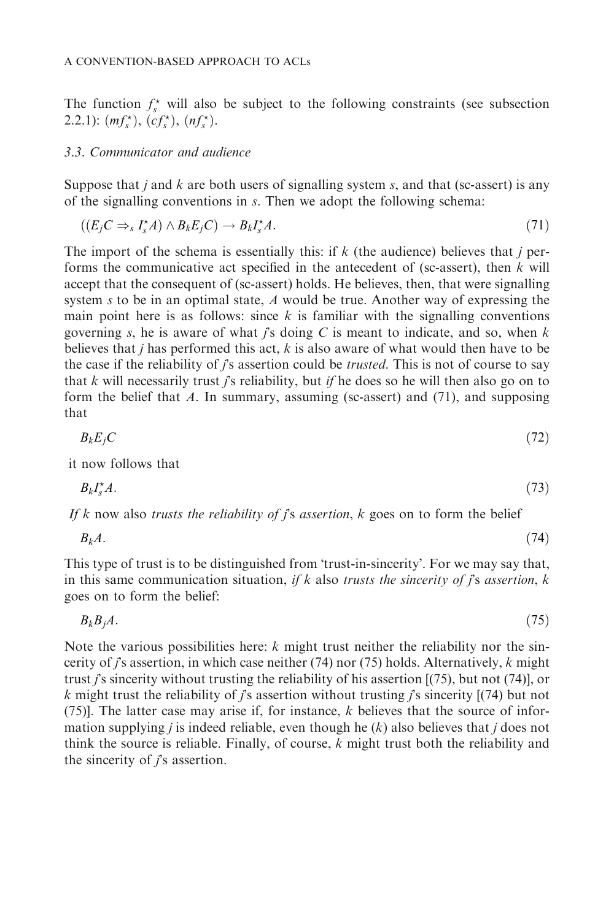The function  $f_s^*$  will also be subject to the following constraints (see subsection 2.2.1):  $(mf_s^{\star}), (cf_s^{\star}), (nf_s^{\star}).$ 

### 3.3. Communicator and audience

Suppose that *j* and *k* are both users of signalling system *s*, and that (sc-assert) is any of the signalling conventions in s. Then we adopt the following schema:

$$
((E_j C \Rightarrow_s I_s^* A) \land B_k E_j C) \to B_k I_s^* A. \tag{71}
$$

The import of the schema is essentially this: if  $k$  (the audience) believes that j performs the communicative act specified in the antecedent of (sc-assert), then  $k$  will accept that the consequent of (sc-assert) holds. He believes, then, that were signalling system s to be in an optimal state, A would be true. Another way of expressing the main point here is as follows: since  $k$  is familiar with the signalling conventions governing s, he is aware of what  $\hat{i}$ s doing C is meant to indicate, and so, when k believes that *j* has performed this act,  $k$  is also aware of what would then have to be the case if the reliability of  $\hat{j}$ s assertion could be *trusted*. This is not of course to say that k will necessarily trust is reliability, but if he does so he will then also go on to form the belief that  $\Lambda$ . In summary, assuming (sc-assert) and (71), and supposing that

$$
B_k E_j C \tag{72}
$$

it now follows that

$$
B_k I_s^* A. \tag{73}
$$

If k now also trusts the reliability of  $\hat{j}$ s assertion, k goes on to form the belief

$$
B_k A. \tag{74}
$$

This type of trust is to be distinguished from 'trust-in-sincerity'. For we may say that, in this same communication situation, if k also trusts the sincerity of  $\hat{f}$ 's assertion, k goes on to form the belief:

 $B_k B_j A.$  (75)

Note the various possibilities here:  $k$  might trust neither the reliability nor the sincerity of  $\vec{r}$ s assertion, in which case neither (74) nor (75) holds. Alternatively, k might trust  $\hat{J}$ 's sincerity without trusting the reliability of his assertion  $[(75)$ , but not  $(74)$ ], or k might trust the reliability of  $\hat{r}$ s assertion without trusting  $\hat{r}$ s sincerity [(74) but not (75). The latter case may arise if, for instance,  $k$  believes that the source of information supplying *j* is indeed reliable, even though he  $(k)$  also believes that *j* does not think the source is reliable. Finally, of course, k might trust both the reliability and the sincerity of  $\hat{j}$ s assertion.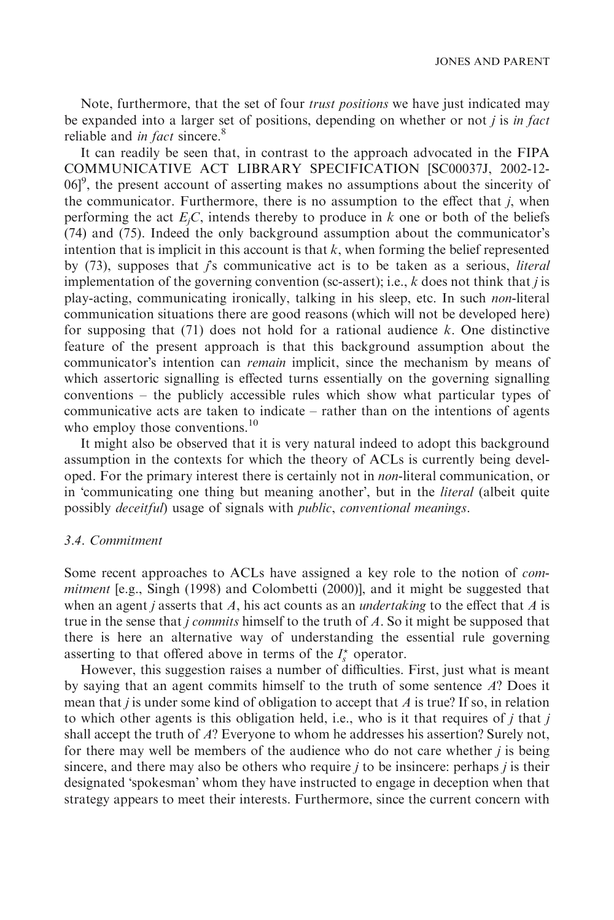JONES AND PARENT

Note, furthermore, that the set of four *trust positions* we have just indicated may be expanded into a larger set of positions, depending on whether or not *i* is *in fact* reliable and *in fact* sincere.<sup>8</sup>

It can readily be seen that, in contrast to the approach advocated in the FIPA COMMUNICATIVE ACT LIBRARY SPECIFICATION [SC00037J, 2002-12- 06]<sup>9</sup>, the present account of asserting makes no assumptions about the sincerity of the communicator. Furthermore, there is no assumption to the effect that  $j$ , when performing the act  $E_jC$ , intends thereby to produce in k one or both of the beliefs (74) and (75). Indeed the only background assumption about the communicators intention that is implicit in this account is that  $k$ , when forming the belief represented by  $(73)$ , supposes that  $\ddot{i}$  communicative act is to be taken as a serious, *literal* implementation of the governing convention (sc-assert); i.e.,  $k$  does not think that  $j$  is play-acting, communicating ironically, talking in his sleep, etc. In such non-literal communication situations there are good reasons (which will not be developed here) for supposing that  $(71)$  does not hold for a rational audience k. One distinctive feature of the present approach is that this background assumption about the communicator's intention can *remain* implicit, since the mechanism by means of which assertoric signalling is effected turns essentially on the governing signalling conventions – the publicly accessible rules which show what particular types of communicative acts are taken to indicate – rather than on the intentions of agents who employ those conventions.<sup>10</sup>

It might also be observed that it is very natural indeed to adopt this background assumption in the contexts for which the theory of ACLs is currently being developed. For the primary interest there is certainly not in non-literal communication, or in 'communicating one thing but meaning another', but in the *literal* (albeit quite possibly deceitful) usage of signals with public, conventional meanings.

# 3.4. Commitment

Some recent approaches to ACLs have assigned a key role to the notion of commitment [e.g., Singh (1998) and Colombetti (2000)], and it might be suggested that when an agent *j* asserts that A, his act counts as an *undertaking* to the effect that A is true in the sense that *j commits* himself to the truth of A. So it might be supposed that there is here an alternative way of understanding the essential rule governing asserting to that offered above in terms of the  $I_s^*$  operator.

However, this suggestion raises a number of difficulties. First, just what is meant by saying that an agent commits himself to the truth of some sentence A? Does it mean that *j* is under some kind of obligation to accept that  $A$  is true? If so, in relation to which other agents is this obligation held, i.e., who is it that requires of  $j$  that  $j$ shall accept the truth of A? Everyone to whom he addresses his assertion? Surely not, for there may well be members of the audience who do not care whether j is being sincere, and there may also be others who require  $j$  to be insincere: perhaps  $j$  is their designated 'spokesman' whom they have instructed to engage in deception when that strategy appears to meet their interests. Furthermore, since the current concern with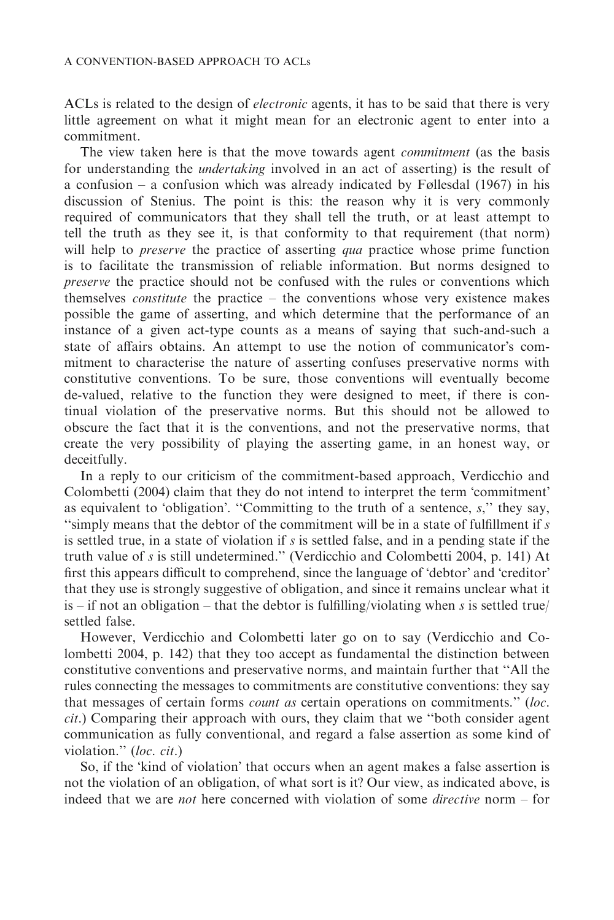ACLs is related to the design of *electronic* agents, it has to be said that there is very little agreement on what it might mean for an electronic agent to enter into a commitment.

The view taken here is that the move towards agent *commitment* (as the basis for understanding the undertaking involved in an act of asserting) is the result of a confusion – a confusion which was already indicated by Føllesdal (1967) in his discussion of Stenius. The point is this: the reason why it is very commonly required of communicators that they shall tell the truth, or at least attempt to tell the truth as they see it, is that conformity to that requirement (that norm) will help to *preserve* the practice of asserting *qua* practice whose prime function is to facilitate the transmission of reliable information. But norms designed to preserve the practice should not be confused with the rules or conventions which themselves *constitute* the practice  $-$  the conventions whose very existence makes possible the game of asserting, and which determine that the performance of an instance of a given act-type counts as a means of saying that such-and-such a state of affairs obtains. An attempt to use the notion of communicator's commitment to characterise the nature of asserting confuses preservative norms with constitutive conventions. To be sure, those conventions will eventually become de-valued, relative to the function they were designed to meet, if there is continual violation of the preservative norms. But this should not be allowed to obscure the fact that it is the conventions, and not the preservative norms, that create the very possibility of playing the asserting game, in an honest way, or deceitfully.

In a reply to our criticism of the commitment-based approach, Verdicchio and Colombetti (2004) claim that they do not intend to interpret the term 'commitment' as equivalent to 'obligation'. "Committing to the truth of a sentence,  $s$ ," they say, ''simply means that the debtor of the commitment will be in a state of fulfillment if s is settled true, in a state of violation if s is settled false, and in a pending state if the truth value of s is still undetermined.'' (Verdicchio and Colombetti 2004, p. 141) At first this appears difficult to comprehend, since the language of 'debtor' and 'creditor' that they use is strongly suggestive of obligation, and since it remains unclear what it is – if not an obligation – that the debtor is fulfilling/violating when s is settled true/ settled false.

However, Verdicchio and Colombetti later go on to say (Verdicchio and Colombetti 2004, p. 142) that they too accept as fundamental the distinction between constitutive conventions and preservative norms, and maintain further that ''All the rules connecting the messages to commitments are constitutive conventions: they say that messages of certain forms count as certain operations on commitments.'' (loc. cit.) Comparing their approach with ours, they claim that we ''both consider agent communication as fully conventional, and regard a false assertion as some kind of violation.'' (loc. cit.)

So, if the 'kind of violation' that occurs when an agent makes a false assertion is not the violation of an obligation, of what sort is it? Our view, as indicated above, is indeed that we are *not* here concerned with violation of some *directive* norm – for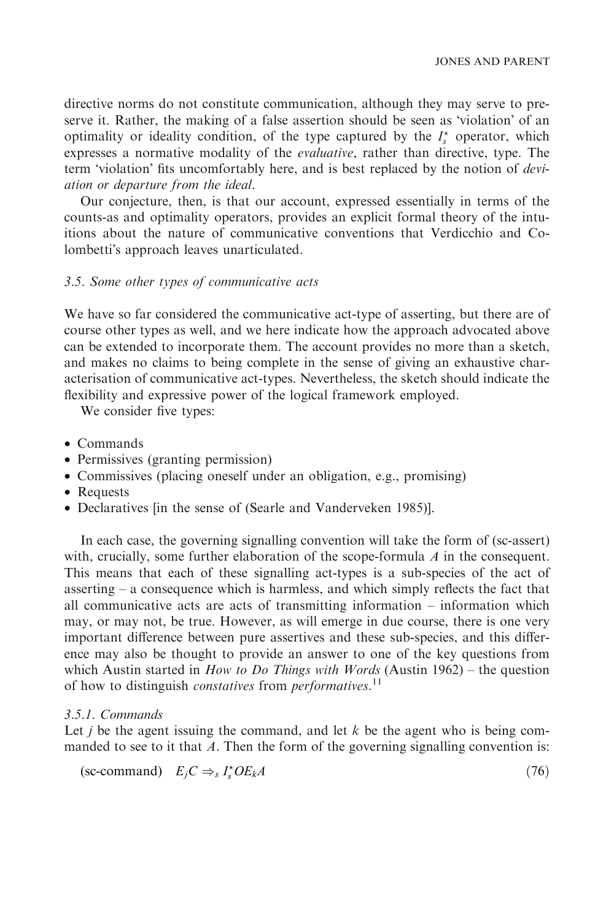directive norms do not constitute communication, although they may serve to preserve it. Rather, the making of a false assertion should be seen as 'violation' of an optimality or ideality condition, of the type captured by the  $I_s^*$  operator, which expresses a normative modality of the evaluative, rather than directive, type. The term 'violation' fits uncomfortably here, and is best replaced by the notion of *devi*ation or departure from the ideal.

Our conjecture, then, is that our account, expressed essentially in terms of the counts-as and optimality operators, provides an explicit formal theory of the intuitions about the nature of communicative conventions that Verdicchio and Colombetti's approach leaves unarticulated.

### 3.5. Some other types of communicative acts

We have so far considered the communicative act-type of asserting, but there are of course other types as well, and we here indicate how the approach advocated above can be extended to incorporate them. The account provides no more than a sketch, and makes no claims to being complete in the sense of giving an exhaustive characterisation of communicative act-types. Nevertheless, the sketch should indicate the flexibility and expressive power of the logical framework employed.

We consider five types:

- Commands
- Permissives (granting permission)
- Commissives (placing oneself under an obligation, e.g., promising)
- Requests
- Declaratives [in the sense of (Searle and Vanderveken 1985)].

In each case, the governing signalling convention will take the form of (sc-assert) with, crucially, some further elaboration of the scope-formula  $A$  in the consequent. This means that each of these signalling act-types is a sub-species of the act of asserting – a consequence which is harmless, and which simply reflects the fact that all communicative acts are acts of transmitting information – information which may, or may not, be true. However, as will emerge in due course, there is one very important difference between pure assertives and these sub-species, and this difference may also be thought to provide an answer to one of the key questions from which Austin started in *How to Do Things with Words* (Austin 1962) – the question of how to distinguish constatives from performatives.<sup>11</sup>

### 3.5.1. Commands

Let j be the agent issuing the command, and let  $k$  be the agent who is being commanded to see to it that  $A$ . Then the form of the governing signalling convention is:

$$
\text{(sc-command)}\quad E_j C \Rightarrow_s I_s^* O E_k A \tag{76}
$$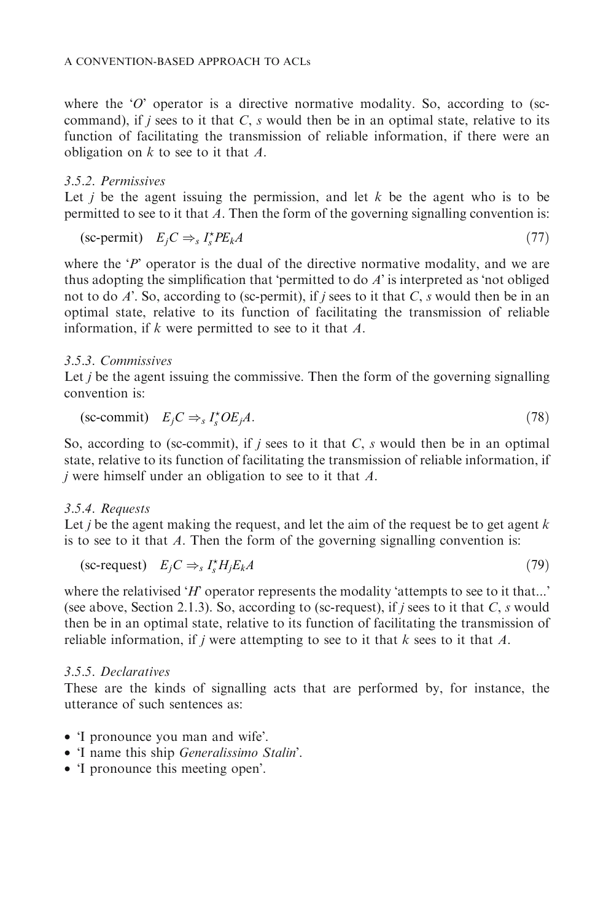where the  $'O'$  operator is a directive normative modality. So, according to (sccommand), if j sees to it that  $C$ , s would then be in an optimal state, relative to its function of facilitating the transmission of reliable information, if there were an obligation on  $k$  to see to it that  $A$ .

# 3.5.2. Permissives

Let *j* be the agent issuing the permission, and let  $k$  be the agent who is to be permitted to see to it that  $\Lambda$ . Then the form of the governing signalling convention is:

(sc-permit)  $E_i C \Rightarrow_s I_c^* P E_k A$  $\int_{s}^{\star}PE_{k}A$  (77)

where the  $P'$  operator is the dual of the directive normative modality, and we are thus adopting the simplification that 'permitted to do  $A$ ' is interpreted as 'not obliged not to do  $A'$ . So, according to (sc-permit), if j sees to it that C, s would then be in an optimal state, relative to its function of facilitating the transmission of reliable information, if  $k$  were permitted to see to it that  $A$ .

# 3.5.3. Commissives

Let  $j$  be the agent issuing the commissive. Then the form of the governing signalling convention is:

$$
\text{(sc-commit)} \quad E_j C \Rightarrow_s I_s^* O E_j A. \tag{78}
$$

So, according to (sc-commit), if  $j$  sees to it that  $C$ ,  $s$  would then be in an optimal state, relative to its function of facilitating the transmission of reliable information, if j were himself under an obligation to see to it that A.

# 3.5.4. Requests

Let  $j$  be the agent making the request, and let the aim of the request be to get agent  $k$ is to see to it that  $A$ . Then the form of the governing signalling convention is:

$$
\text{(sc-request)} \quad E_j C \Rightarrow_s I_s^* H_j E_k A \tag{79}
$$

where the relativised  $H$  operator represents the modality 'attempts to see to it that...' (see above, Section 2.1.3). So, according to (sc-request), if  $j$  sees to it that  $C$ ,  $s$  would then be in an optimal state, relative to its function of facilitating the transmission of reliable information, if j were attempting to see to it that  $k$  sees to it that  $A$ .

## 3.5.5. Declaratives

These are the kinds of signalling acts that are performed by, for instance, the utterance of such sentences as:

- I pronounce you man and wife'.
- I name this ship Generalissimo Stalin'.
- I pronounce this meeting open'.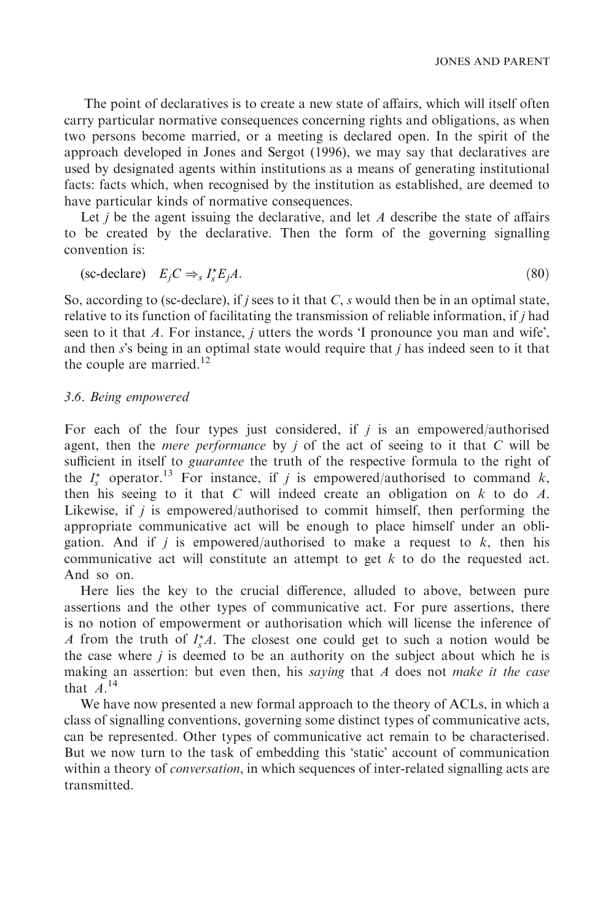The point of declaratives is to create a new state of affairs, which will itself often carry particular normative consequences concerning rights and obligations, as when two persons become married, or a meeting is declared open. In the spirit of the approach developed in Jones and Sergot (1996), we may say that declaratives are used by designated agents within institutions as a means of generating institutional facts: facts which, when recognised by the institution as established, are deemed to have particular kinds of normative consequences.

Let  $\dot{\jmath}$  be the agent issuing the declarative, and let  $\ddot{\jmath}$  describe the state of affairs to be created by the declarative. Then the form of the governing signalling convention is:

$$
\text{(sc-decare)} \quad E_j C \Rightarrow_s I_s^* E_j A. \tag{80}
$$

So, according to (sc-declare), if  $j$  sees to it that  $C$ ,  $s$  would then be in an optimal state, relative to its function of facilitating the transmission of reliable information, if j had seen to it that A. For instance,  $j$  utters the words 'I pronounce you man and wife', and then  $s$ 's being in an optimal state would require that  $j$  has indeed seen to it that the couple are married. $^{12}$ 

### 3.6. Being empowered

For each of the four types just considered, if  $j$  is an empowered/authorised agent, then the *mere performance* by  $j$  of the act of seeing to it that  $C$  will be sufficient in itself to *guarantee* the truth of the respective formula to the right of the  $I_s^*$  operator.<sup>13</sup> For instance, if j is empowered/authorised to command k, then his seeing to it that  $C$  will indeed create an obligation on  $k$  to do  $A$ . Likewise, if  $j$  is empowered/authorised to commit himself, then performing the appropriate communicative act will be enough to place himself under an obligation. And if j is empowered/authorised to make a request to  $k$ , then his communicative act will constitute an attempt to get  $k$  to do the requested act. And so on.

Here lies the key to the crucial difference, alluded to above, between pure assertions and the other types of communicative act. For pure assertions, there is no notion of empowerment or authorisation which will license the inference of A from the truth of  $I_s^*A$ . The closest one could get to such a notion would be the case where  $j$  is deemed to be an authority on the subject about which he is making an assertion: but even then, his saying that  $A$  does not make it the case that  $A^{14}$ 

We have now presented a new formal approach to the theory of ACLs, in which a class of signalling conventions, governing some distinct types of communicative acts, can be represented. Other types of communicative act remain to be characterised. But we now turn to the task of embedding this 'static' account of communication within a theory of *conversation*, in which sequences of inter-related signalling acts are transmitted.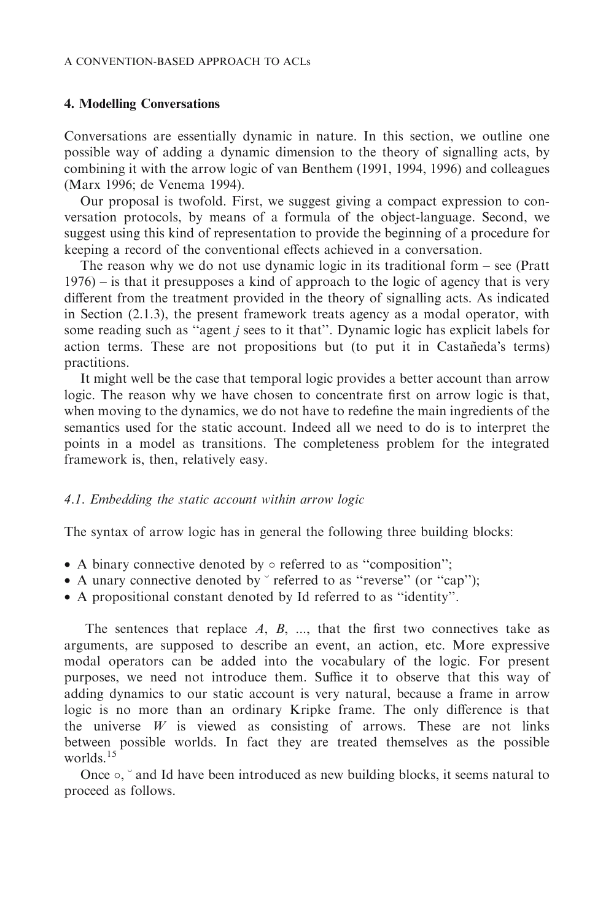### 4. Modelling Conversations

Conversations are essentially dynamic in nature. In this section, we outline one possible way of adding a dynamic dimension to the theory of signalling acts, by combining it with the arrow logic of van Benthem (1991, 1994, 1996) and colleagues (Marx 1996; de Venema 1994).

Our proposal is twofold. First, we suggest giving a compact expression to conversation protocols, by means of a formula of the object-language. Second, we suggest using this kind of representation to provide the beginning of a procedure for keeping a record of the conventional effects achieved in a conversation.

The reason why we do not use dynamic logic in its traditional form – see (Pratt 1976) – is that it presupposes a kind of approach to the logic of agency that is very different from the treatment provided in the theory of signalling acts. As indicated in Section (2.1.3), the present framework treats agency as a modal operator, with some reading such as ''agent j sees to it that''. Dynamic logic has explicit labels for action terms. These are not propositions but (to put it in Castañeda's terms) practitions.

It might well be the case that temporal logic provides a better account than arrow logic. The reason why we have chosen to concentrate first on arrow logic is that, when moving to the dynamics, we do not have to redefine the main ingredients of the semantics used for the static account. Indeed all we need to do is to interpret the points in a model as transitions. The completeness problem for the integrated framework is, then, relatively easy.

### 4.1. Embedding the static account within arrow logic

The syntax of arrow logic has in general the following three building blocks:

- A binary connective denoted by  $\circ$  referred to as "composition";
- A unary connective denoted by  $\check{ }$  referred to as "reverse" (or "cap");
- A propositional constant denoted by Id referred to as ''identity''.

The sentences that replace  $A, B, \ldots$ , that the first two connectives take as arguments, are supposed to describe an event, an action, etc. More expressive modal operators can be added into the vocabulary of the logic. For present purposes, we need not introduce them. Suffice it to observe that this way of adding dynamics to our static account is very natural, because a frame in arrow logic is no more than an ordinary Kripke frame. The only difference is that the universe  $W$  is viewed as consisting of arrows. These are not links between possible worlds. In fact they are treated themselves as the possible worlds.<sup>15</sup>

Once  $\circ$ ,  $\circ$  and Id have been introduced as new building blocks, it seems natural to proceed as follows.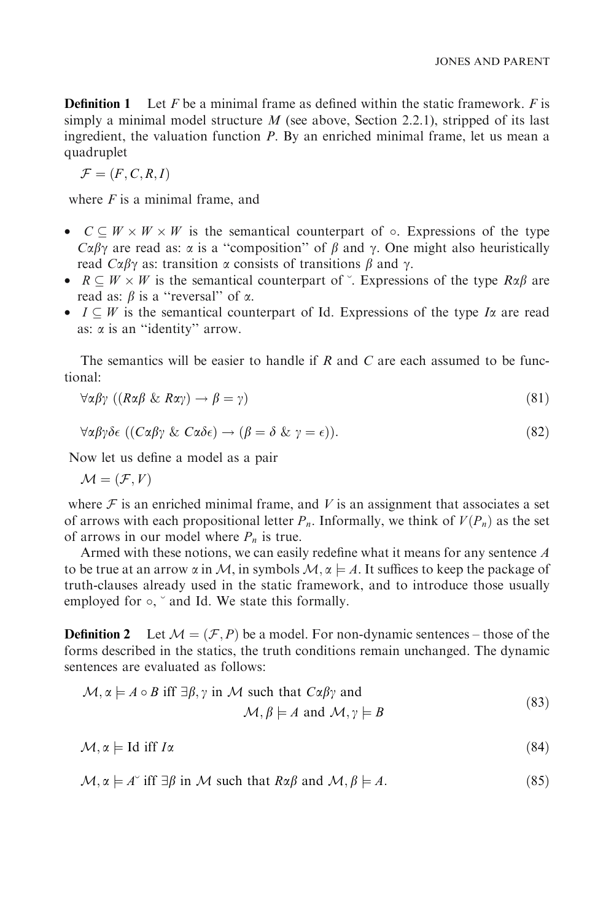**Definition 1** Let F be a minimal frame as defined within the static framework. F is simply a minimal model structure  $M$  (see above, Section 2.2.1), stripped of its last ingredient, the valuation function P. By an enriched minimal frame, let us mean a quadruplet

 $\mathcal{F} = (F, C, R, I)$ 

where  $F$  is a minimal frame, and

- $C \subseteq W \times W \times W$  is the semantical counterpart of  $\circ$ . Expressions of the type  $C\alpha\beta\gamma$  are read as:  $\alpha$  is a "composition" of  $\beta$  and  $\gamma$ . One might also heuristically read  $C\alpha\beta\gamma$  as: transition  $\alpha$  consists of transitions  $\beta$  and  $\gamma$ .
- $R \subseteq W \times W$  is the semantical counterpart of  $\vee$ . Expressions of the type  $R \propto \beta$  are read as:  $\beta$  is a "reversal" of  $\alpha$ .
- $I \subseteq W$  is the semantical counterpart of Id. Expressions of the type Ia are read as:  $\alpha$  is an "identity" arrow.

The semantics will be easier to handle if R and C are each assumed to be functional:

$$
\forall \alpha \beta \gamma \ ((R \alpha \beta \ \& \ R \alpha \gamma) \rightarrow \beta = \gamma) \tag{81}
$$

$$
\forall \alpha \beta \gamma \delta \epsilon \ ((C \alpha \beta \gamma \ \& \ C \alpha \delta \epsilon) \rightarrow (\beta = \delta \ \& \ \gamma = \epsilon)). \tag{82}
$$

Now let us define a model as a pair

 $\mathcal{M} = (\mathcal{F}, V)$ 

where  $\mathcal F$  is an enriched minimal frame, and V is an assignment that associates a set of arrows with each propositional letter  $P_n$ . Informally, we think of  $V(P_n)$  as the set of arrows in our model where  $P_n$  is true.

Armed with these notions, we can easily redefine what it means for any sentence A to be true at an arrow  $\alpha$  in M, in symbols  $\mathcal{M}, \alpha \models A$ . It suffices to keep the package of truth-clauses already used in the static framework, and to introduce those usually employed for  $\circ$ ,  $\circ$  and Id. We state this formally.

**Definition 2** Let  $\mathcal{M} = (\mathcal{F}, P)$  be a model. For non-dynamic sentences – those of the forms described in the statics, the truth conditions remain unchanged. The dynamic sentences are evaluated as follows:

$$
\mathcal{M}, \alpha \models A \circ B \text{ iff } \exists \beta, \gamma \text{ in } \mathcal{M} \text{ such that } C\alpha\beta\gamma \text{ and} \n\mathcal{M}, \beta \models A \text{ and } \mathcal{M}, \gamma \models B
$$
\n(83)

$$
\mathcal{M}, \alpha \models \text{Id iff } I\alpha \tag{84}
$$

$$
\mathcal{M}, \alpha \models A^{\sim} \text{ iff } \exists \beta \text{ in } \mathcal{M} \text{ such that } R\alpha\beta \text{ and } \mathcal{M}, \beta \models A. \tag{85}
$$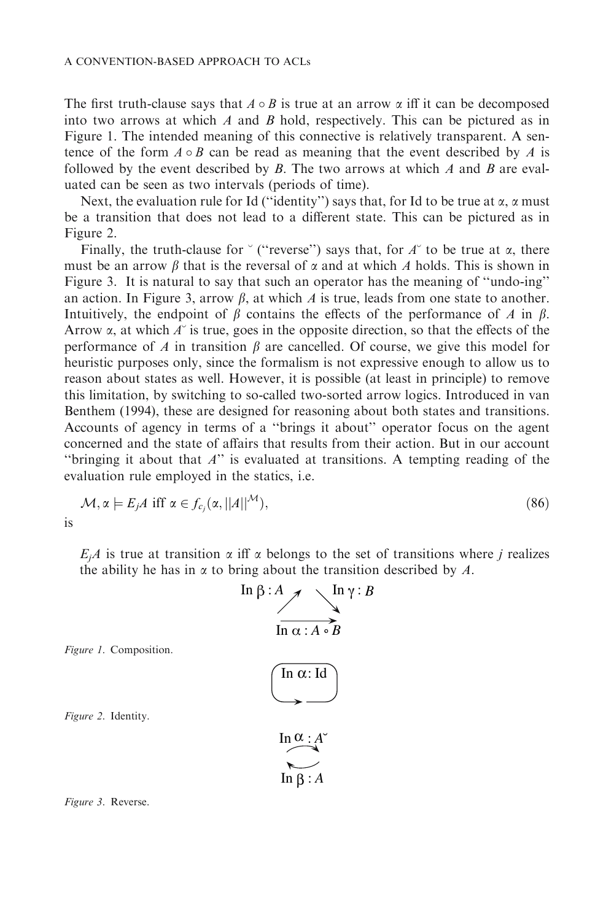The first truth-clause says that  $A \circ B$  is true at an arrow  $\alpha$  iff it can be decomposed into two arrows at which  $A$  and  $B$  hold, respectively. This can be pictured as in Figure 1. The intended meaning of this connective is relatively transparent. A sentence of the form  $A \circ B$  can be read as meaning that the event described by A is followed by the event described by  $B$ . The two arrows at which  $A$  and  $B$  are evaluated can be seen as two intervals (periods of time).

Next, the evaluation rule for Id ("identity") says that, for Id to be true at  $\alpha$ ,  $\alpha$  must be a transition that does not lead to a different state. This can be pictured as in Figure 2.

Finally, the truth-clause for  $\check{\ }$  ("reverse") says that, for  $A^{\check{}}$  to be true at  $\alpha$ , there must be an arrow  $\beta$  that is the reversal of  $\alpha$  and at which A holds. This is shown in Figure 3. It is natural to say that such an operator has the meaning of ''undo-ing'' an action. In Figure 3, arrow  $\beta$ , at which A is true, leads from one state to another. Intuitively, the endpoint of  $\beta$  contains the effects of the performance of A in  $\beta$ . Arrow  $\alpha$ , at which  $A^{\circ}$  is true, goes in the opposite direction, so that the effects of the performance of A in transition  $\beta$  are cancelled. Of course, we give this model for heuristic purposes only, since the formalism is not expressive enough to allow us to reason about states as well. However, it is possible (at least in principle) to remove this limitation, by switching to so-called two-sorted arrow logics. Introduced in van Benthem (1994), these are designed for reasoning about both states and transitions. Accounts of agency in terms of a ''brings it about'' operator focus on the agent concerned and the state of affairs that results from their action. But in our account "bringing it about that  $A$ " is evaluated at transitions. A tempting reading of the evaluation rule employed in the statics, i.e.

$$
\mathcal{M}, \alpha \models E_j A \text{ iff } \alpha \in f_{c_j}(\alpha, ||A||^{\mathcal{M}}),
$$
\n
$$
\text{is}
$$
\n
$$
(86)
$$

 $E_iA$  is true at transition  $\alpha$  iff  $\alpha$  belongs to the set of transitions where j realizes the ability he has in  $\alpha$  to bring about the transition described by A.



Figure 3. Reverse.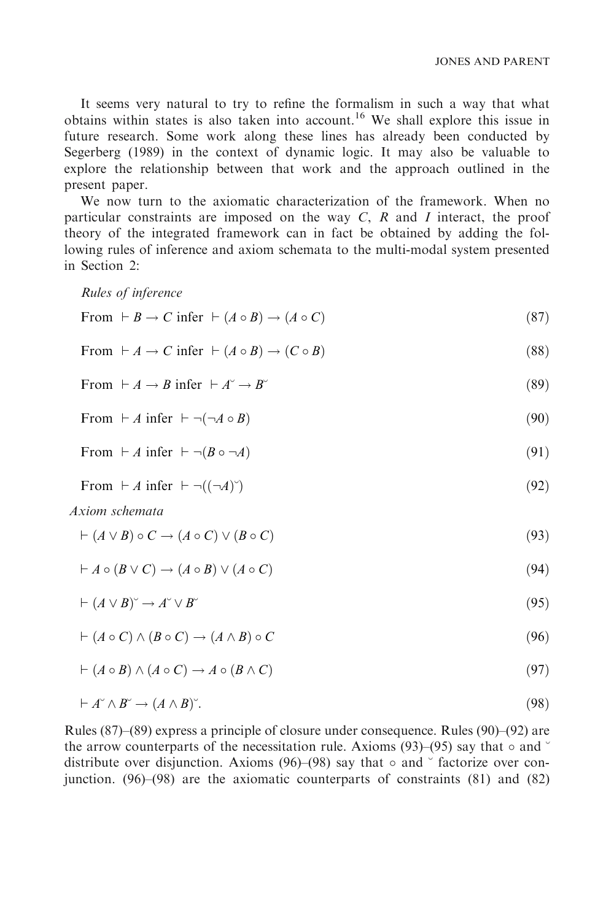It seems very natural to try to refine the formalism in such a way that what obtains within states is also taken into account.<sup>16</sup> We shall explore this issue in future research. Some work along these lines has already been conducted by Segerberg (1989) in the context of dynamic logic. It may also be valuable to explore the relationship between that work and the approach outlined in the present paper.

We now turn to the axiomatic characterization of the framework. When no particular constraints are imposed on the way  $C$ ,  $R$  and  $I$  interact, the proof theory of the integrated framework can in fact be obtained by adding the following rules of inference and axiom schemata to the multi-modal system presented in Section 2:

Rules of inference

From 
$$
\vdash B \to C
$$
 infer  $\vdash (A \circ B) \to (A \circ C)$  (87)

From 
$$
\vdash A \to C
$$
 infer  $\vdash (A \circ B) \to (C \circ B)$  (88)

From 
$$
\vdash A \rightarrow B
$$
 infer  $\vdash A^{\sim} \rightarrow B^{\sim}$  (89)

From 
$$
\vdash A
$$
 infer  $\vdash \neg(\neg A \circ B)$  (90)

From  $\vdash A$  infer  $\vdash \neg(B \circ \neg A)$  (91)

From 
$$
\vdash A
$$
 infer  $\vdash \neg((\neg A)^{\vee})$  (92)

Axiom schemata

$$
\vdash (A \lor B) \circ C \to (A \circ C) \lor (B \circ C) \tag{93}
$$

$$
\vdash A \circ (B \lor C) \to (A \circ B) \lor (A \circ C) \tag{94}
$$

$$
\vdash (A \lor B)^{\sim} \to A^{\sim} \lor B^{\sim} \tag{95}
$$

$$
\vdash (A \circ C) \land (B \circ C) \to (A \land B) \circ C \tag{96}
$$

$$
\vdash (A \circ B) \land (A \circ C) \to A \circ (B \land C) \tag{97}
$$

$$
\vdash A^{\sim} \land B^{\sim} \to (A \land B)^{\sim}.\tag{98}
$$

Rules (87)–(89) express a principle of closure under consequence. Rules (90)–(92) are the arrow counterparts of the necessitation rule. Axioms (93)–(95) say that  $\circ$  and  $\circ$ distribute over disjunction. Axioms  $(96)$ – $(98)$  say that  $\circ$  and  $\circ$  factorize over conjunction. (96)–(98) are the axiomatic counterparts of constraints (81) and (82)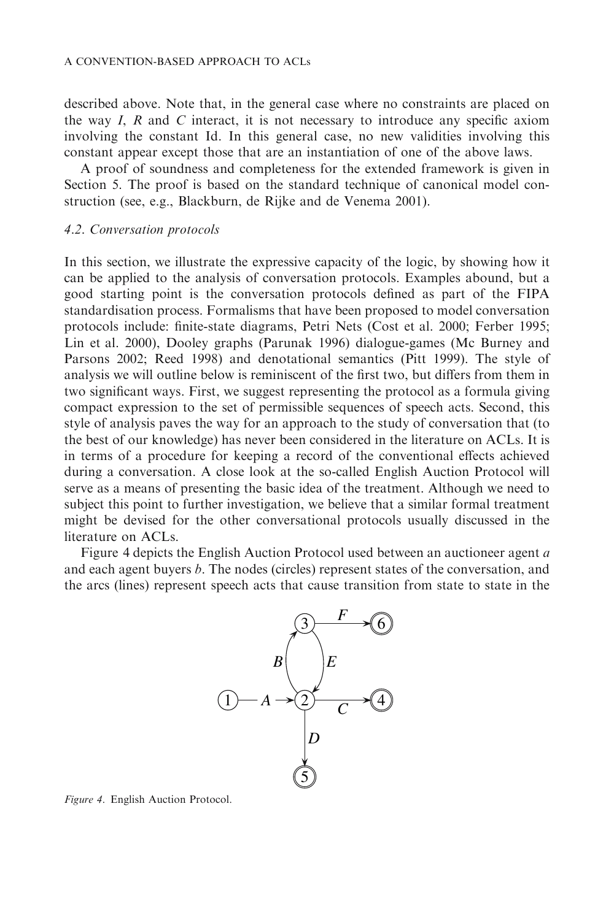described above. Note that, in the general case where no constraints are placed on the way I, R and C interact, it is not necessary to introduce any specific axiom involving the constant Id. In this general case, no new validities involving this constant appear except those that are an instantiation of one of the above laws.

A proof of soundness and completeness for the extended framework is given in Section 5. The proof is based on the standard technique of canonical model construction (see, e.g., Blackburn, de Rijke and de Venema 2001).

### 4.2. Conversation protocols

In this section, we illustrate the expressive capacity of the logic, by showing how it can be applied to the analysis of conversation protocols. Examples abound, but a good starting point is the conversation protocols defined as part of the FIPA standardisation process. Formalisms that have been proposed to model conversation protocols include: finite-state diagrams, Petri Nets (Cost et al. 2000; Ferber 1995; Lin et al. 2000), Dooley graphs (Parunak 1996) dialogue-games (Mc Burney and Parsons 2002; Reed 1998) and denotational semantics (Pitt 1999). The style of analysis we will outline below is reminiscent of the first two, but differs from them in two significant ways. First, we suggest representing the protocol as a formula giving compact expression to the set of permissible sequences of speech acts. Second, this style of analysis paves the way for an approach to the study of conversation that (to the best of our knowledge) has never been considered in the literature on ACLs. It is in terms of a procedure for keeping a record of the conventional effects achieved during a conversation. A close look at the so-called English Auction Protocol will serve as a means of presenting the basic idea of the treatment. Although we need to subject this point to further investigation, we believe that a similar formal treatment might be devised for the other conversational protocols usually discussed in the literature on ACLs.

Figure 4 depicts the English Auction Protocol used between an auctioneer agent a and each agent buyers b. The nodes (circles) represent states of the conversation, and the arcs (lines) represent speech acts that cause transition from state to state in the



Figure 4. English Auction Protocol.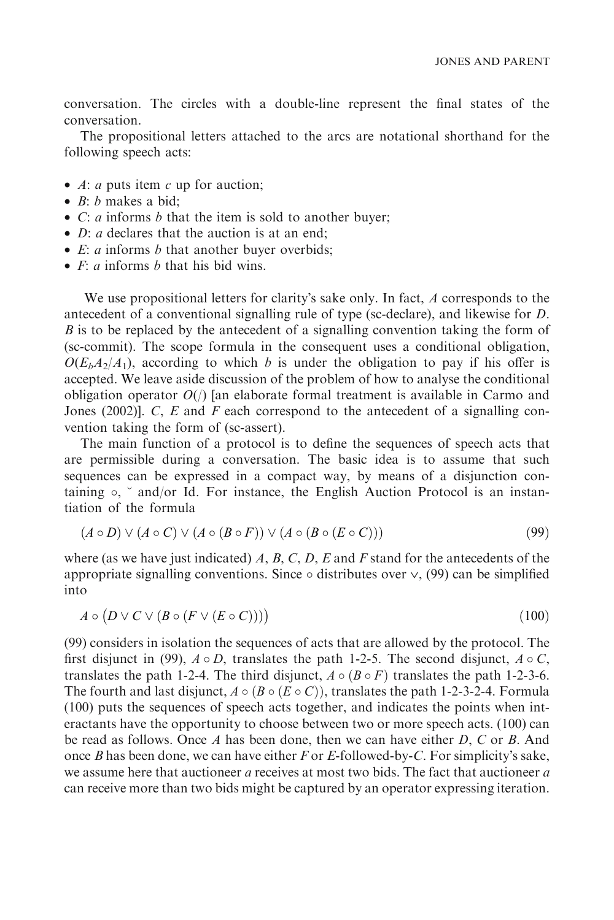conversation. The circles with a double-line represent the final states of the conversation.

The propositional letters attached to the arcs are notational shorthand for the following speech acts:

- $\Lambda$ : *a* puts item *c* up for auction;
- $B$ :  $b$  makes a bid:
- $C: a$  informs  $b$  that the item is sold to another buyer;
- *D*: *a* declares that the auction is at an end;
- $E: a$  informs  $b$  that another buyer overbids:
- $F: a$  informs  $b$  that his bid wins.

We use propositional letters for clarity's sake only. In fact, A corresponds to the antecedent of a conventional signalling rule of type (sc-declare), and likewise for D.  $B$  is to be replaced by the antecedent of a signalling convention taking the form of (sc-commit). The scope formula in the consequent uses a conditional obligation,  $O(E<sub>b</sub>A<sub>2</sub>/A<sub>1</sub>)$ , according to which b is under the obligation to pay if his offer is accepted. We leave aside discussion of the problem of how to analyse the conditional obligation operator  $O(1)$  [an elaborate formal treatment is available in Carmo and Jones (2002)].  $C$ ,  $E$  and  $F$  each correspond to the antecedent of a signalling convention taking the form of (sc-assert).

The main function of a protocol is to define the sequences of speech acts that are permissible during a conversation. The basic idea is to assume that such sequences can be expressed in a compact way, by means of a disjunction containing  $\circ$ ,  $\circ$  and/or Id. For instance, the English Auction Protocol is an instantiation of the formula

$$
(A \circ D) \vee (A \circ C) \vee (A \circ (B \circ F)) \vee (A \circ (B \circ (E \circ C))) \tag{99}
$$

where (as we have just indicated)  $A$ ,  $B$ ,  $C$ ,  $D$ ,  $E$  and  $F$  stand for the antecedents of the appropriate signalling conventions. Since  $\circ$  distributes over  $\vee$ , (99) can be simplified into

$$
A \circ (D \vee C \vee (B \circ (F \vee (E \circ C)))) \tag{100}
$$

(99) considers in isolation the sequences of acts that are allowed by the protocol. The first disjunct in (99),  $A \circ D$ , translates the path 1-2-5. The second disjunct,  $A \circ C$ , translates the path 1-2-4. The third disjunct,  $A \circ (B \circ F)$  translates the path 1-2-3-6. The fourth and last disjunct,  $A \circ (B \circ (E \circ C))$ , translates the path 1-2-3-2-4. Formula (100) puts the sequences of speech acts together, and indicates the points when interactants have the opportunity to choose between two or more speech acts. (100) can be read as follows. Once A has been done, then we can have either  $D$ ,  $C$  or  $B$ . And once B has been done, we can have either F or E-followed-by-C. For simplicity's sake, we assume here that auctioneer  $a$  receives at most two bids. The fact that auctioneer  $a$ can receive more than two bids might be captured by an operator expressing iteration.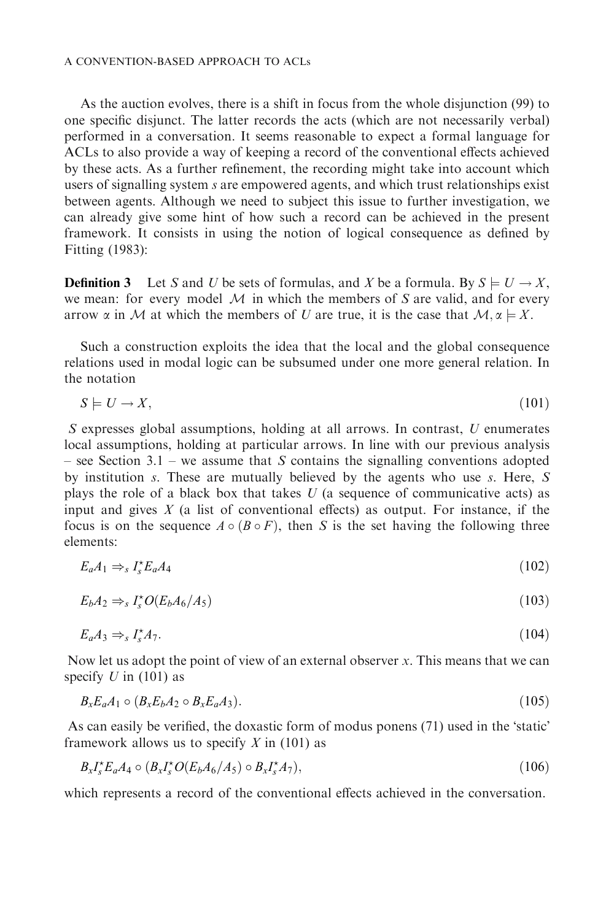As the auction evolves, there is a shift in focus from the whole disjunction (99) to one specific disjunct. The latter records the acts (which are not necessarily verbal) performed in a conversation. It seems reasonable to expect a formal language for ACLs to also provide a way of keeping a record of the conventional effects achieved by these acts. As a further refinement, the recording might take into account which users of signalling system  $s$  are empowered agents, and which trust relationships exist between agents. Although we need to subject this issue to further investigation, we can already give some hint of how such a record can be achieved in the present framework. It consists in using the notion of logical consequence as defined by Fitting (1983):

**Definition 3** Let S and U be sets of formulas, and X be a formula. By  $S \models U \rightarrow X$ , we mean: for every model  $M$  in which the members of S are valid, and for every arrow  $\alpha$  in M at which the members of U are true, it is the case that  $M, \alpha \models X$ .

Such a construction exploits the idea that the local and the global consequence relations used in modal logic can be subsumed under one more general relation. In the notation

$$
S \models U \to X,\tag{101}
$$

 $S$  expresses global assumptions, holding at all arrows. In contrast,  $U$  enumerates local assumptions, holding at particular arrows. In line with our previous analysis – see Section 3.1 – we assume that S contains the signalling conventions adopted by institution s. These are mutually believed by the agents who use s. Here,  $S$ plays the role of a black box that takes  $U$  (a sequence of communicative acts) as input and gives  $X$  (a list of conventional effects) as output. For instance, if the focus is on the sequence  $A \circ (B \circ F)$ , then S is the set having the following three elements:

$$
E_a A_1 \Rightarrow_s I_s^* E_a A_4 \tag{102}
$$

$$
E_b A_2 \Rightarrow_s I_s^* O(E_b A_6 / A_5) \tag{103}
$$

$$
E_a A_3 \Rightarrow_s I_s^* A_7. \tag{104}
$$

Now let us adopt the point of view of an external observer x. This means that we can specify  $U$  in (101) as

$$
B_x E_a A_1 \circ (B_x E_b A_2 \circ B_x E_a A_3). \tag{105}
$$

As can easily be verified, the doxastic form of modus ponens (71) used in the 'static' framework allows us to specify  $X$  in (101) as

$$
B_x I_s^* E_a A_4 \circ (B_x I_s^* O(E_b A_6/A_5) \circ B_x I_s^* A_7), \qquad (106)
$$

which represents a record of the conventional effects achieved in the conversation.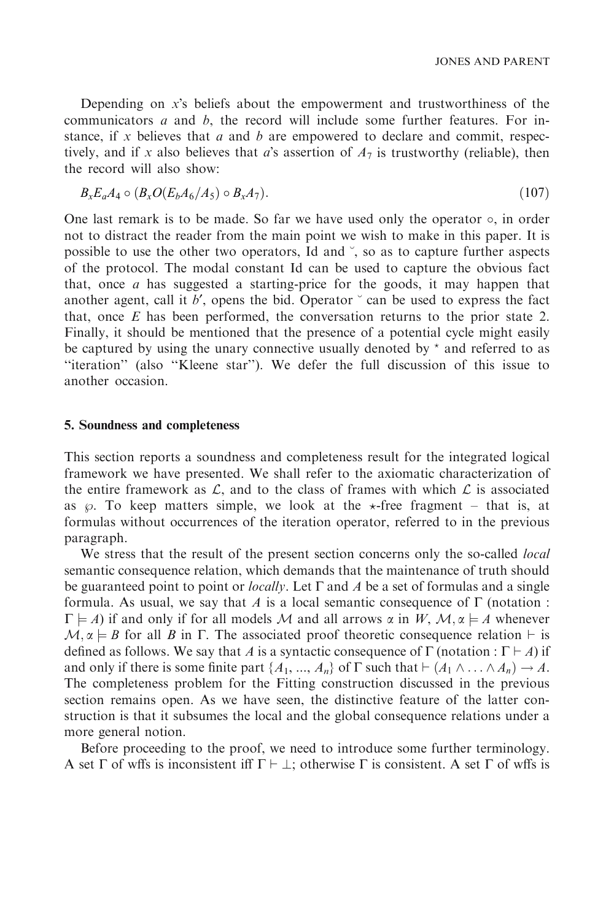Depending on  $x$ 's beliefs about the empowerment and trustworthiness of the communicators a and  $b$ , the record will include some further features. For instance, if x believes that a and b are empowered to declare and commit, respectively, and if x also believes that a's assertion of  $A_7$  is trustworthy (reliable), then the record will also show:

$$
B_x E_a A_4 \circ (B_x O(E_b A_6 / A_5) \circ B_x A_7). \tag{107}
$$

One last remark is to be made. So far we have used only the operator  $\circ$ , in order not to distract the reader from the main point we wish to make in this paper. It is possible to use the other two operators, Id and  $\check{\phantom{\phi}}$ , so as to capture further aspects of the protocol. The modal constant Id can be used to capture the obvious fact that, once  $\alpha$  has suggested a starting-price for the goods, it may happen that another agent, call it  $b'$ , opens the bid. Operator  $\degree$  can be used to express the fact that, once E has been performed, the conversation returns to the prior state 2. Finally, it should be mentioned that the presence of a potential cycle might easily be captured by using the unary connective usually denoted by  $*$  and referred to as ''iteration'' (also ''Kleene star''). We defer the full discussion of this issue to another occasion.

### 5. Soundness and completeness

This section reports a soundness and completeness result for the integrated logical framework we have presented. We shall refer to the axiomatic characterization of the entire framework as  $\mathcal{L}$ , and to the class of frames with which  $\mathcal{L}$  is associated as  $\wp$ . To keep matters simple, we look at the  $\star$ -free fragment – that is, at formulas without occurrences of the iteration operator, referred to in the previous paragraph.

We stress that the result of the present section concerns only the so-called *local* semantic consequence relation, which demands that the maintenance of truth should be guaranteed point to point or *locally*. Let  $\Gamma$  and A be a set of formulas and a single formula. As usual, we say that A is a local semantic consequence of  $\Gamma$  (notation :  $\Gamma \models A$ ) if and only if for all models M and all arrows  $\alpha$  in  $W, M, \alpha \models A$  whenever  $\mathcal{M}, \alpha \models B$  for all B in  $\Gamma$ . The associated proof theoretic consequence relation  $\vdash$  is defined as follows. We say that A is a syntactic consequence of  $\Gamma$  (notation :  $\Gamma \vdash A$ ) if and only if there is some finite part  $\{A_1, ..., A_n\}$  of  $\Gamma$  such that  $\vdash (A_1 \land ... \land A_n) \rightarrow A$ . The completeness problem for the Fitting construction discussed in the previous section remains open. As we have seen, the distinctive feature of the latter construction is that it subsumes the local and the global consequence relations under a more general notion.

Before proceeding to the proof, we need to introduce some further terminology. A set  $\Gamma$  of wffs is inconsistent iff  $\Gamma \vdash \bot$ ; otherwise  $\Gamma$  is consistent. A set  $\Gamma$  of wffs is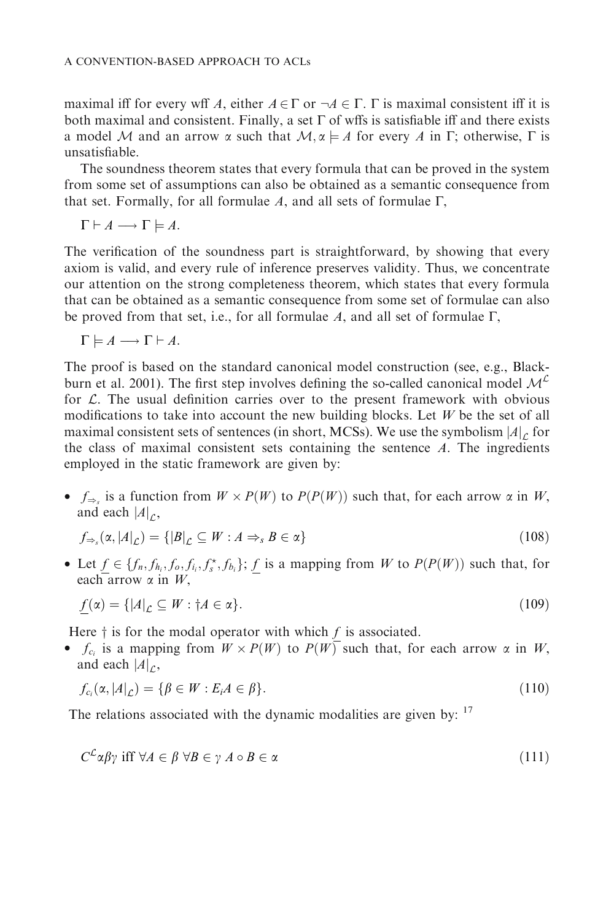maximal iff for every wff A, either  $A \in \Gamma$  or  $\neg A \in \Gamma$ .  $\Gamma$  is maximal consistent iff it is both maximal and consistent. Finally, a set  $\Gamma$  of wffs is satisfiable iff and there exists a model M and an arrow  $\alpha$  such that  $\mathcal{M}, \alpha \models A$  for every A in  $\Gamma$ ; otherwise,  $\Gamma$  is unsatisfiable.

The soundness theorem states that every formula that can be proved in the system from some set of assumptions can also be obtained as a semantic consequence from that set. Formally, for all formulae  $A$ , and all sets of formulae  $\Gamma$ ,

 $\Gamma \vdash A \longrightarrow \Gamma \models A.$ 

The verification of the soundness part is straightforward, by showing that every axiom is valid, and every rule of inference preserves validity. Thus, we concentrate our attention on the strong completeness theorem, which states that every formula that can be obtained as a semantic consequence from some set of formulae can also be proved from that set, i.e., for all formulae A, and all set of formulae  $\Gamma$ ,

$$
\Gamma \models A \longrightarrow \Gamma \vdash A.
$$

The proof is based on the standard canonical model construction (see, e.g., Blackburn et al. 2001). The first step involves defining the so-called canonical model  $\mathcal{M}^{\mathcal{L}}$ for  $\mathcal{L}$ . The usual definition carries over to the present framework with obvious modifications to take into account the new building blocks. Let  $W$  be the set of all maximal consistent sets of sentences (in short, MCSs). We use the symbolism  $|A|_c$  for the class of maximal consistent sets containing the sentence  $A$ . The ingredients employed in the static framework are given by:

•  $f_{\Rightarrow s}$  is a function from  $W \times P(W)$  to  $P(P(W))$  such that, for each arrow  $\alpha$  in W, and each  $|A|_{\mathcal{L}},$ 

$$
f_{\Rightarrow_s}(\alpha, |A|_{\mathcal{L}}) = \{|B|_{\mathcal{L}} \subseteq W : A \Rightarrow_s B \in \alpha\}
$$
\n(108)

• Let  $\underline{f} \in \{f_n, f_{h_i}, f_o, f_{i_i}, f_s^*, f_{b_i}\};$  is a mapping from W to  $P(P(W))$  such that, for each arrow  $\alpha$  in W,

$$
\underline{f}(\alpha) = \{ |A|_{\mathcal{L}} \subseteq W : \dagger A \in \alpha \}. \tag{109}
$$

Here  $\dagger$  is for the modal operator with which  $f$  is associated.

•  $f_c$  is a mapping from  $W \times P(W)$  to  $P(W)$  such that, for each arrow  $\alpha$  in W, and each  $|A|_c$ ,

$$
f_{c_i}(\alpha, |A|_{\mathcal{L}}) = \{ \beta \in W : E_i A \in \beta \}.
$$
\n<sup>(110)</sup>

The relations associated with the dynamic modalities are given by: <sup>17</sup>

$$
C^{\mathcal{L}} \alpha \beta \gamma \text{ iff } \forall A \in \beta \ \forall B \in \gamma \ A \circ B \in \alpha \tag{111}
$$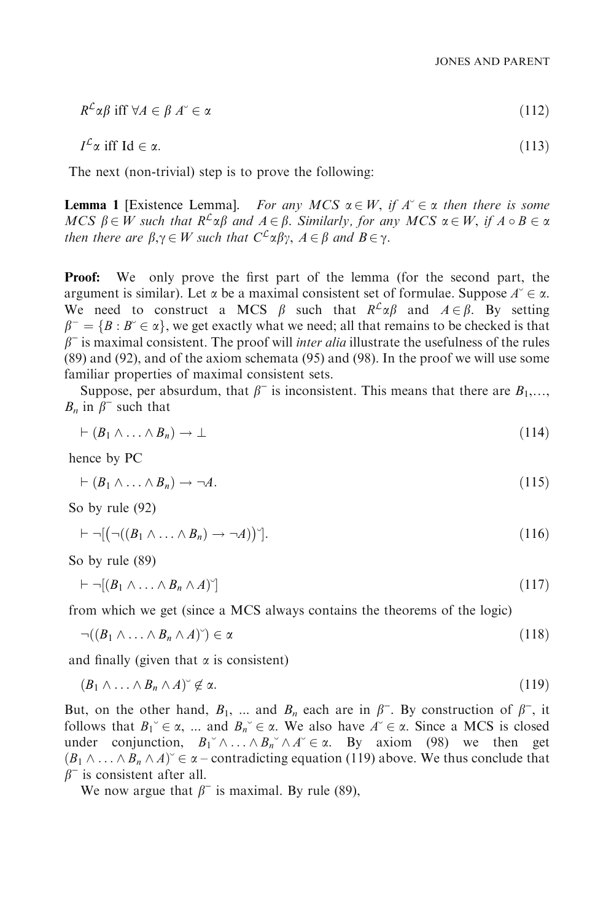$$
R^{\mathcal{L}}\alpha\beta\,\,\text{iff}\,\,\forall A\in\beta\,\,A^{\sim}\in\alpha\tag{112}
$$

$$
I^{\mathcal{L}}\alpha \text{ iff } \text{Id} \in \alpha. \tag{113}
$$

The next (non-trivial) step is to prove the following:

**Lemma 1** [Existence Lemma]. For any MCS  $\alpha \in W$ , if  $A^{\circ} \in \alpha$  then there is some MCS  $\beta \in W$  such that  $R^{\mathcal{L}} \alpha \beta$  and  $A \in \beta$ . Similarly, for any MCS  $\alpha \in W$ , if  $A \circ B \in \alpha$ then there are  $\beta, \gamma \in W$  such that  $C^{\mathcal{L}} \alpha \beta \gamma$ ,  $A \in \beta$  and  $B \in \gamma$ .

**Proof:** We only prove the first part of the lemma (for the second part, the argument is similar). Let  $\alpha$  be a maximal consistent set of formulae. Suppose  $A^{\circ} \in \alpha$ . We need to construct a MCS  $\beta$  such that  $R^2 \alpha \beta$  and  $A \in \beta$ . By setting  $\beta^{-} = \{B : B^{\circ} \in \alpha\}$ , we get exactly what we need; all that remains to be checked is that  $\beta$ <sup>-</sup> is maximal consistent. The proof will *inter alia* illustrate the usefulness of the rules (89) and (92), and of the axiom schemata (95) and (98). In the proof we will use some familiar properties of maximal consistent sets.

Suppose, per absurdum, that  $\beta^-$  is inconsistent. This means that there are  $B_1, \ldots$ ,  $B_n$  in  $\beta^-$  such that

$$
\vdash (B_1 \land \ldots \land B_n) \to \bot \tag{114}
$$

hence by PC

$$
\vdash (B_1 \land \ldots \land B_n) \to \neg A. \tag{115}
$$

So by rule (92)

$$
\vdash \neg [(\neg((B_1 \land \ldots \land B_n) \to \neg A))]'. \tag{116}
$$

So by rule (89)

$$
\vdash \neg[(B_1 \land \ldots \land B_n \land A)^\vee] \tag{117}
$$

from which we get (since a MCS always contains the theorems of the logic)

$$
\neg((B_1 \land \ldots \land B_n \land A)^{\vee}) \in \alpha \tag{118}
$$

and finally (given that  $\alpha$  is consistent)

$$
(B_1 \wedge \ldots \wedge B_n \wedge A)^{\vee} \notin \alpha. \tag{119}
$$

But, on the other hand,  $B_1$ , ... and  $B_n$  each are in  $\beta^-$ . By construction of  $\beta^-$ , it follows that  $B_1 \in \alpha$ , ... and  $B_n \in \alpha$ . We also have  $A \in \alpha$ . Since a MCS is closed under conjunction,  $B_1 \times \ldots \times B_n \times \Lambda^2 \in \alpha$ . By axiom (98) we then get  $(B_1 \wedge \ldots \wedge B_n \wedge A)^{\vee} \in \alpha$  – contradicting equation (119) above. We thus conclude that  $\beta$ <sup>-</sup> is consistent after all.

We now argue that  $\beta^-$  is maximal. By rule (89),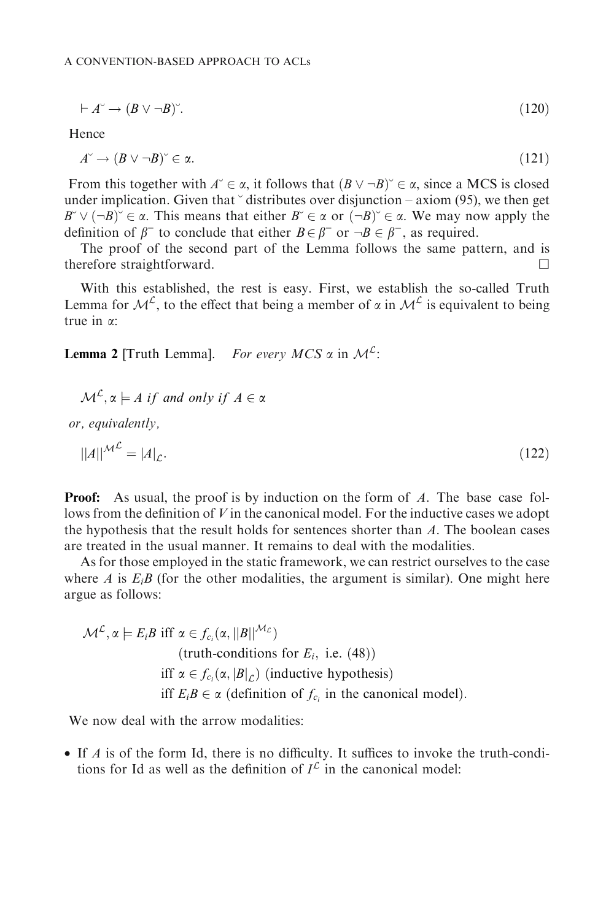$$
\vdash A^{\sim} \to (B \lor \neg B)^{\sim}.\tag{120}
$$

Hence

$$
A^{\sim} \to (B \lor \neg B)^{\sim} \in \alpha. \tag{121}
$$

From this together with  $A^{\prime} \in \alpha$ , it follows that  $(B \vee \neg B)^{\prime} \in \alpha$ , since a MCS is closed under implication. Given that  $\check{\phantom{\phi}}$  distributes over disjunction – axiom (95), we then get  $B^\vee \vee (\neg B)^\vee \in \alpha$ . This means that either  $B^\vee \in \alpha$  or  $(\neg B)^\vee \in \alpha$ . We may now apply the definition of  $\beta^-$  to conclude that either  $B \in \beta^-$  or  $\neg B \in \beta^-$ , as required.

The proof of the second part of the Lemma follows the same pattern, and is therefore straightforward.  $\Box$ 

With this established, the rest is easy. First, we establish the so-called Truth Lemma for  $\mathcal{M}^{\mathcal{L}}$ , to the effect that being a member of  $\alpha$  in  $\mathcal{M}^{\mathcal{L}}$  is equivalent to being true in a:

**Lemma 2** [Truth Lemma]. For every MCS  $\alpha$  in  $\mathcal{M}^{\mathcal{L}}$ :

 $\mathcal{M}^{\mathcal{L}}$ ,  $\alpha \models A$  if and only if  $A \in \alpha$ 

or, equivalently,

$$
||A||^{\mathcal{M}^{\mathcal{L}}} = |A|_{\mathcal{L}}.\tag{122}
$$

**Proof:** As usual, the proof is by induction on the form of A. The base case follows from the definition of  $V$  in the canonical model. For the inductive cases we adopt the hypothesis that the result holds for sentences shorter than  $A$ . The boolean cases are treated in the usual manner. It remains to deal with the modalities.

As for those employed in the static framework, we can restrict ourselves to the case where A is  $E_iB$  (for the other modalities, the argument is similar). One might here argue as follows:

```
\mathcal{M}^{\mathcal{L}}, \alpha \models E_i B \text{ iff } \alpha \in f_{c_i}(\alpha,||B||^{\mathcal{M}_{\mathcal{L}}})(truth-conditions for E_i, i.e. (48))
             iff \alpha \in f_{c_i}(\alpha, |B|_{\mathcal{L}}) (inductive hypothesis)
            iff E_iB \in \alpha (definition of f_{c_i} in the canonical model).
```
We now deal with the arrow modalities:

• If  $A$  is of the form Id, there is no difficulty. It suffices to invoke the truth-conditions for Id as well as the definition of  $I^{\mathcal{L}}$  in the canonical model: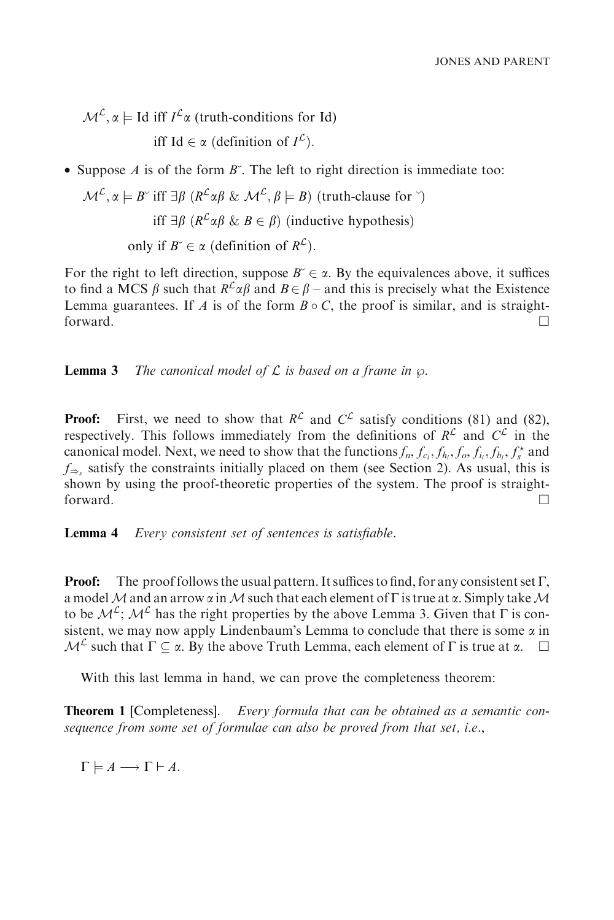$\mathcal{M}^{\mathcal{L}}$ ,  $\alpha \models$  Id iff  $I^{\mathcal{L}}\alpha$  (truth-conditions for Id) iff Id  $\in \alpha$  (definition of  $I^{\mathcal{L}}$ ).

• Suppose  $A$  is of the form  $B^{\circ}$ . The left to right direction is immediate too:

$$
\mathcal{M}^{\mathcal{L}}, \alpha \models B^{\circ} \text{ iff } \exists \beta \ (R^{\mathcal{L}} \alpha \beta \ \& \ \mathcal{M}^{\mathcal{L}}, \beta \models B) \ (\text{truth-clause for }^{\circ})
$$
\n
$$
\text{ iff } \exists \beta \ (R^{\mathcal{L}} \alpha \beta \ \& \ B \in \beta) \ (\text{inductive hypothesis})
$$
\n
$$
\text{only if } B^{\circ} \in \alpha \ (\text{definition of } R^{\mathcal{L}}).
$$

For the right to left direction, suppose  $B^{\circ} \in \alpha$ . By the equivalences above, it suffices to find a MCS  $\beta$  such that  $R^{\mathcal{L}} \alpha \beta$  and  $B \in \beta$  – and this is precisely what the Existence Lemma guarantees. If A is of the form  $B \circ C$ , the proof is similar, and is straightforward.  $\square$ 

**Lemma 3** The canonical model of  $\mathcal{L}$  is based on a frame in  $\varphi$ .

**Proof:** First, we need to show that  $R^{\mathcal{L}}$  and  $C^{\mathcal{L}}$  satisfy conditions (81) and (82), respectively. This follows immediately from the definitions of  $R^{\mathcal{L}}$  and  $C^{\mathcal{L}}$  in the canonical model. Next, we need to show that the functions  $f_n$ ,  $f_{c_i}$ ,  $f_{h_i}$ ,  $f_o$ ,  $f_{i_i}$ ,  $f_s$  and  $f_{\Rightarrow}$  satisfy the constraints initially placed on them (see Section 2). As usual, this is shown by using the proof-theoretic properties of the system. The proof is straightforward.  $\Box$ 

Lemma 4 Every consistent set of sentences is satisfiable.

**Proof:** The proof follows the usual pattern. It suffices to find, for any consistent set  $\Gamma$ , a model M and an arrow  $\alpha$  in M such that each element of  $\Gamma$  is true at  $\alpha$ . Simply take M to be  $\mathcal{M}^{\mathcal{L}}$ ;  $\mathcal{M}^{\mathcal{L}}$  has the right properties by the above Lemma 3. Given that  $\Gamma$  is consistent, we may now apply Lindenbaum's Lemma to conclude that there is some  $\alpha$  in  $\mathcal{M}^{\mathcal{L}}$  such that  $\Gamma \subseteq \alpha$ . By the above Truth Lemma, each element of  $\Gamma$  is true at  $\alpha$ .  $\Box$ 

With this last lemma in hand, we can prove the completeness theorem:

**Theorem 1** [Completeness]. Every formula that can be obtained as a semantic consequence from some set of formulae can also be proved from that set, i.e.,

 $\Gamma \models A \longrightarrow \Gamma \vdash A.$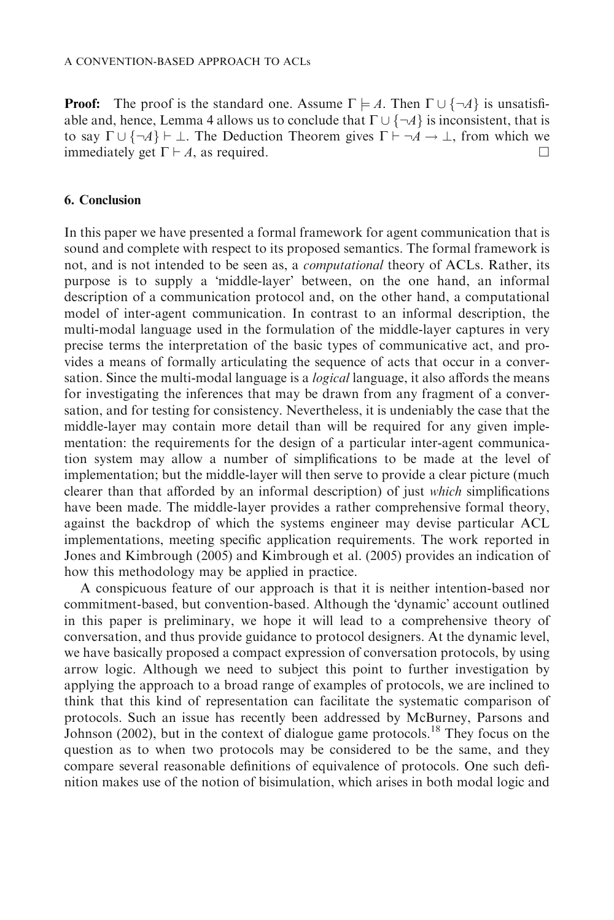**Proof:** The proof is the standard one. Assume  $\Gamma \models A$ . Then  $\Gamma \cup \{\neg A\}$  is unsatisfiable and, hence, Lemma 4 allows us to conclude that  $\Gamma \cup \{\neg A\}$  is inconsistent, that is to say  $\Gamma \cup \{\neg A\} \vdash \bot$ . The Deduction Theorem gives  $\Gamma \vdash \neg A \rightarrow \bot$ , from which we immediately get  $\Gamma \vdash A$ , as required.

## 6. Conclusion

In this paper we have presented a formal framework for agent communication that is sound and complete with respect to its proposed semantics. The formal framework is not, and is not intended to be seen as, a *computational* theory of ACLs. Rather, its purpose is to supply a 'middle-layer' between, on the one hand, an informal description of a communication protocol and, on the other hand, a computational model of inter-agent communication. In contrast to an informal description, the multi-modal language used in the formulation of the middle-layer captures in very precise terms the interpretation of the basic types of communicative act, and provides a means of formally articulating the sequence of acts that occur in a conversation. Since the multi-modal language is a *logical* language, it also affords the means for investigating the inferences that may be drawn from any fragment of a conversation, and for testing for consistency. Nevertheless, it is undeniably the case that the middle-layer may contain more detail than will be required for any given implementation: the requirements for the design of a particular inter-agent communication system may allow a number of simplifications to be made at the level of implementation; but the middle-layer will then serve to provide a clear picture (much clearer than that afforded by an informal description) of just which simplifications have been made. The middle-layer provides a rather comprehensive formal theory, against the backdrop of which the systems engineer may devise particular ACL implementations, meeting specific application requirements. The work reported in Jones and Kimbrough (2005) and Kimbrough et al. (2005) provides an indication of how this methodology may be applied in practice.

A conspicuous feature of our approach is that it is neither intention-based nor commitment-based, but convention-based. Although the 'dynamic' account outlined in this paper is preliminary, we hope it will lead to a comprehensive theory of conversation, and thus provide guidance to protocol designers. At the dynamic level, we have basically proposed a compact expression of conversation protocols, by using arrow logic. Although we need to subject this point to further investigation by applying the approach to a broad range of examples of protocols, we are inclined to think that this kind of representation can facilitate the systematic comparison of protocols. Such an issue has recently been addressed by McBurney, Parsons and Johnson (2002), but in the context of dialogue game protocols.<sup>18</sup> They focus on the question as to when two protocols may be considered to be the same, and they compare several reasonable definitions of equivalence of protocols. One such definition makes use of the notion of bisimulation, which arises in both modal logic and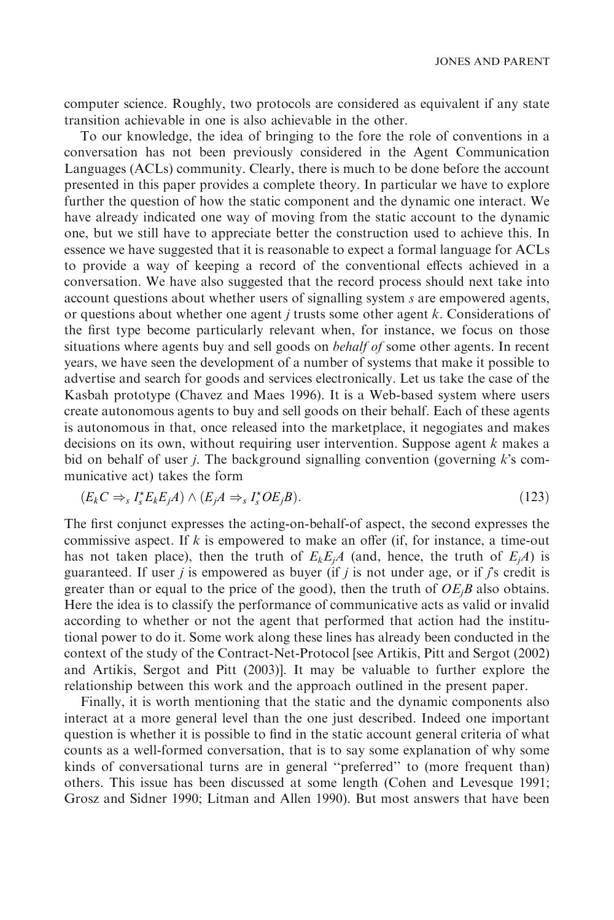JONES AND PARENT

computer science. Roughly, two protocols are considered as equivalent if any state transition achievable in one is also achievable in the other.

To our knowledge, the idea of bringing to the fore the role of conventions in a conversation has not been previously considered in the Agent Communication Languages (ACLs) community. Clearly, there is much to be done before the account presented in this paper provides a complete theory. In particular we have to explore further the question of how the static component and the dynamic one interact. We have already indicated one way of moving from the static account to the dynamic one, but we still have to appreciate better the construction used to achieve this. In essence we have suggested that it is reasonable to expect a formal language for ACLs to provide a way of keeping a record of the conventional effects achieved in a conversation. We have also suggested that the record process should next take into account questions about whether users of signalling system s are empowered agents, or questions about whether one agent  $j$  trusts some other agent  $k$ . Considerations of the first type become particularly relevant when, for instance, we focus on those situations where agents buy and sell goods on behalf of some other agents. In recent years, we have seen the development of a number of systems that make it possible to advertise and search for goods and services electronically. Let us take the case of the Kasbah prototype (Chavez and Maes 1996). It is a Web-based system where users create autonomous agents to buy and sell goods on their behalf. Each of these agents is autonomous in that, once released into the marketplace, it negogiates and makes decisions on its own, without requiring user intervention. Suppose agent  $k$  makes a bid on behalf of user *j*. The background signalling convention (governing  $k$ 's communicative act) takes the form

$$
(E_k C \Rightarrow_s I_s^* E_k E_j A) \land (E_j A \Rightarrow_s I_s^* O E_j B). \tag{123}
$$

The first conjunct expresses the acting-on-behalf-of aspect, the second expresses the commissive aspect. If  $k$  is empowered to make an offer (if, for instance, a time-out has not taken place), then the truth of  $E_kE_iA$  (and, hence, the truth of  $E_iA$ ) is guaranteed. If user *j* is empowered as buyer (if *j* is not under age, or if  $\hat{j}$ s credit is greater than or equal to the price of the good), then the truth of  $OE<sub>i</sub>B$  also obtains. Here the idea is to classify the performance of communicative acts as valid or invalid according to whether or not the agent that performed that action had the institutional power to do it. Some work along these lines has already been conducted in the context of the study of the Contract-Net-Protocol [see Artikis, Pitt and Sergot (2002) and Artikis, Sergot and Pitt (2003)]. It may be valuable to further explore the relationship between this work and the approach outlined in the present paper.

Finally, it is worth mentioning that the static and the dynamic components also interact at a more general level than the one just described. Indeed one important question is whether it is possible to find in the static account general criteria of what counts as a well-formed conversation, that is to say some explanation of why some kinds of conversational turns are in general ''preferred'' to (more frequent than) others. This issue has been discussed at some length (Cohen and Levesque 1991; Grosz and Sidner 1990; Litman and Allen 1990). But most answers that have been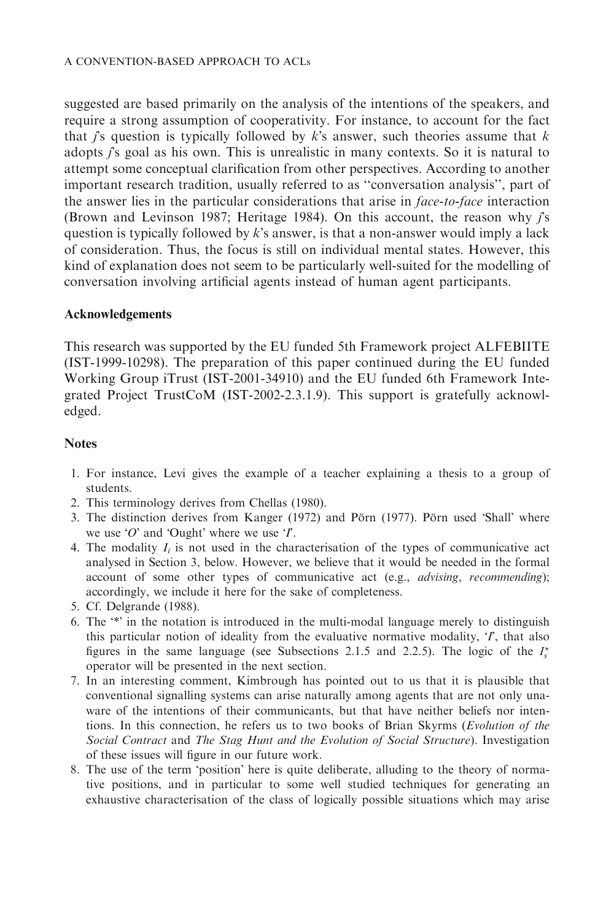suggested are based primarily on the analysis of the intentions of the speakers, and require a strong assumption of cooperativity. For instance, to account for the fact that  $\hat{r}$ s question is typically followed by  $k$ 's answer, such theories assume that  $k$ adopts  $\hat{i}$ 's goal as his own. This is unrealistic in many contexts. So it is natural to attempt some conceptual clarification from other perspectives. According to another important research tradition, usually referred to as ''conversation analysis'', part of the answer lies in the particular considerations that arise in face-to-face interaction (Brown and Levinson 1987; Heritage 1984). On this account, the reason why  $\hat{\beta}$ s question is typically followed by  $k$ 's answer, is that a non-answer would imply a lack of consideration. Thus, the focus is still on individual mental states. However, this kind of explanation does not seem to be particularly well-suited for the modelling of conversation involving artificial agents instead of human agent participants.

# Acknowledgements

This research was supported by the EU funded 5th Framework project ALFEBIITE (IST-1999-10298). The preparation of this paper continued during the EU funded Working Group iTrust (IST-2001-34910) and the EU funded 6th Framework Integrated Project TrustCoM (IST-2002-2.3.1.9). This support is gratefully acknowledged.

# **Notes**

- 1. For instance, Levi gives the example of a teacher explaining a thesis to a group of students.
- 2. This terminology derives from Chellas (1980).
- 3. The distinction derives from Kanger (1972) and Pörn (1977). Pörn used 'Shall' where we use ' $O'$  and 'Ought' where we use ' $\Gamma$ .
- 4. The modality  $I_i$  is not used in the characterisation of the types of communicative act analysed in Section 3, below. However, we believe that it would be needed in the formal account of some other types of communicative act (e.g., *advising*, *recommending*); accordingly, we include it here for the sake of completeness.
- 5. Cf. Delgrande (1988).
- 6. The -\* in the notation is introduced in the multi-modal language merely to distinguish this particular notion of ideality from the evaluative normative modality,  $\dot{T}$ , that also figures in the same language (see Subsections 2.1.5 and 2.2.5). The logic of the  $I_s^*$ operator will be presented in the next section.
- 7. In an interesting comment, Kimbrough has pointed out to us that it is plausible that conventional signalling systems can arise naturally among agents that are not only unaware of the intentions of their communicants, but that have neither beliefs nor intentions. In this connection, he refers us to two books of Brian Skyrms (Evolution of the Social Contract and The Stag Hunt and the Evolution of Social Structure). Investigation of these issues will figure in our future work.
- 8. The use of the term 'position' here is quite deliberate, alluding to the theory of normative positions, and in particular to some well studied techniques for generating an exhaustive characterisation of the class of logically possible situations which may arise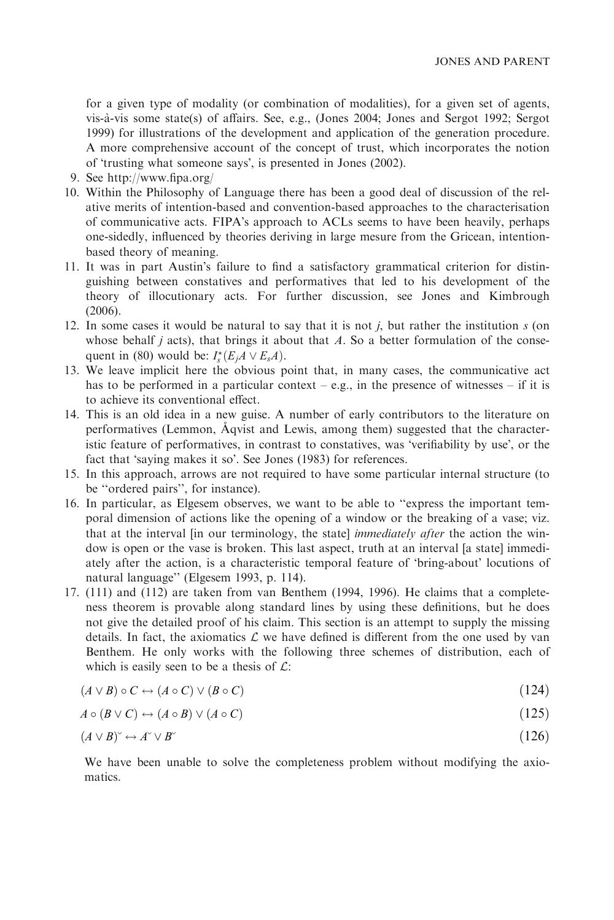for a given type of modality (or combination of modalities), for a given set of agents, vis-a`-vis some state(s) of affairs. See, e.g., (Jones 2004; Jones and Sergot 1992; Sergot 1999) for illustrations of the development and application of the generation procedure. A more comprehensive account of the concept of trust, which incorporates the notion of 'trusting what someone says', is presented in Jones (2002).

- 9. See http://www.fipa.org/
- 10. Within the Philosophy of Language there has been a good deal of discussion of the relative merits of intention-based and convention-based approaches to the characterisation of communicative acts. FIPA's approach to ACLs seems to have been heavily, perhaps one-sidedly, influenced by theories deriving in large mesure from the Gricean, intentionbased theory of meaning.
- 11. It was in part Austin's failure to find a satisfactory grammatical criterion for distinguishing between constatives and performatives that led to his development of the theory of illocutionary acts. For further discussion, see Jones and Kimbrough (2006).
- 12. In some cases it would be natural to say that it is not  $j$ , but rather the institution  $s$  (on whose behalf *j* acts), that brings it about that  $\Lambda$ . So a better formulation of the consequent in (80) would be:  $I_s^*(E_jA \vee E_sA)$ .
- 13. We leave implicit here the obvious point that, in many cases, the communicative act has to be performed in a particular context – e.g., in the presence of witnesses – if it is to achieve its conventional effect.
- 14. This is an old idea in a new guise. A number of early contributors to the literature on performatives (Lemmon, Aqvist and Lewis, among them) suggested that the characteristic feature of performatives, in contrast to constatives, was 'verifiability by use', or the fact that 'saying makes it so'. See Jones (1983) for references.
- 15. In this approach, arrows are not required to have some particular internal structure (to be ''ordered pairs'', for instance).
- 16. In particular, as Elgesem observes, we want to be able to ''express the important temporal dimension of actions like the opening of a window or the breaking of a vase; viz. that at the interval [in our terminology, the state] *immediately after* the action the window is open or the vase is broken. This last aspect, truth at an interval [a state] immediately after the action, is a characteristic temporal feature of 'bring-about' locutions of natural language'' (Elgesem 1993, p. 114).
- 17. (111) and (112) are taken from van Benthem (1994, 1996). He claims that a completeness theorem is provable along standard lines by using these definitions, but he does not give the detailed proof of his claim. This section is an attempt to supply the missing details. In fact, the axiomatics  $\mathcal L$  we have defined is different from the one used by van Benthem. He only works with the following three schemes of distribution, each of which is easily seen to be a thesis of  $\mathcal{L}$ :

$$
(A \lor B) \circ C \leftrightarrow (A \circ C) \lor (B \circ C) \tag{124}
$$

$$
A \circ (B \vee C) \leftrightarrow (A \circ B) \vee (A \circ C) \tag{125}
$$

$$
(A \lor B)^\sim \leftrightarrow A^\sim \lor B^\sim \tag{126}
$$

We have been unable to solve the completeness problem without modifying the axiomatics.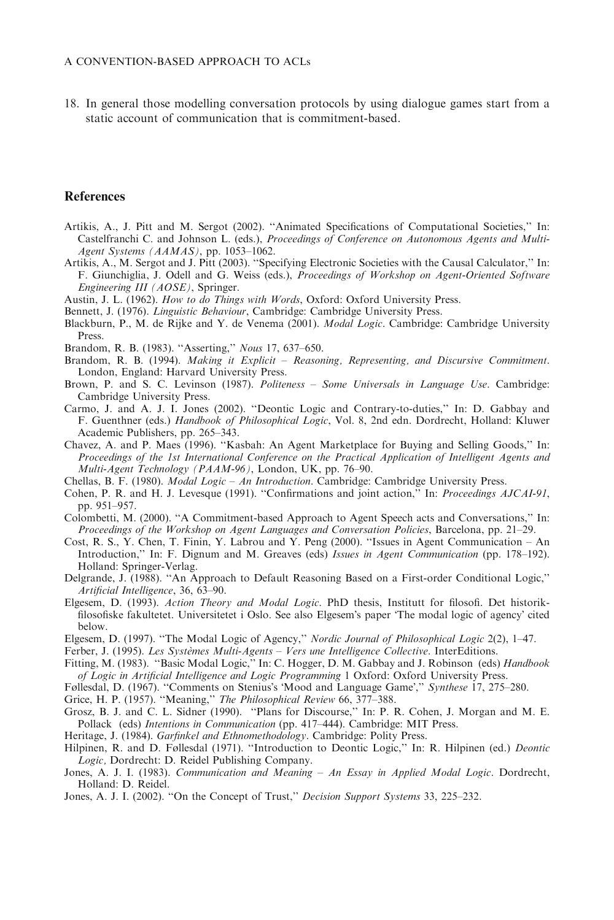18. In general those modelling conversation protocols by using dialogue games start from a static account of communication that is commitment-based.

### References

- Artikis, A., J. Pitt and M. Sergot (2002). ''Animated Specifications of Computational Societies,'' In: Castelfranchi C. and Johnson L. (eds.), Proceedings of Conference on Autonomous Agents and Multi-Agent Systems  $(AAMAS)$ , pp. 1053-1062.
- Artikis, A., M. Sergot and J. Pitt (2003). ''Specifying Electronic Societies with the Causal Calculator,'' In: F. Giunchiglia, J. Odell and G. Weiss (eds.), Proceedings of Workshop on Agent-Oriented Software Engineering III (AOSE), Springer.
- Austin, J. L. (1962). How to do Things with Words, Oxford: Oxford University Press.
- Bennett, J. (1976). Linguistic Behaviour, Cambridge: Cambridge University Press.
- Blackburn, P., M. de Rijke and Y. de Venema (2001). Modal Logic. Cambridge: Cambridge University Press.
- Brandom, R. B. (1983). "Asserting," Nous 17, 637-650.
- Brandom, R. B. (1994). Making it Explicit Reasoning, Representing, and Discursive Commitment. London, England: Harvard University Press.
- Brown, P. and S. C. Levinson (1987). Politeness Some Universals in Language Use. Cambridge: Cambridge University Press.
- Carmo, J. and A. J. I. Jones (2002). ''Deontic Logic and Contrary-to-duties,'' In: D. Gabbay and F. Guenthner (eds.) Handbook of Philosophical Logic, Vol. 8, 2nd edn. Dordrecht, Holland: Kluwer Academic Publishers, pp. 265–343.
- Chavez, A. and P. Maes (1996). ''Kasbah: An Agent Marketplace for Buying and Selling Goods,'' In: Proceedings of the 1st International Conference on the Practical Application of Intelligent Agents and Multi-Agent Technology (PAAM-96), London, UK, pp. 76–90.
- Chellas, B. F. (1980). Modal Logic An Introduction. Cambridge: Cambridge University Press.
- Cohen, P. R. and H. J. Levesque (1991). ''Confirmations and joint action,'' In: Proceedings AJCAI-91, pp. 951–957.
- Colombetti, M. (2000). ''A Commitment-based Approach to Agent Speech acts and Conversations,'' In: Proceedings of the Workshop on Agent Languages and Conversation Policies, Barcelona, pp. 21–29.
- Cost, R. S., Y. Chen, T. Finin, Y. Labrou and Y. Peng (2000). ''Issues in Agent Communication An Introduction,'' In: F. Dignum and M. Greaves (eds) Issues in Agent Communication (pp. 178–192). Holland: Springer-Verlag.
- Delgrande, J. (1988). ''An Approach to Default Reasoning Based on a First-order Conditional Logic,'' Artificial Intelligence, 36, 63–90.
- Elgesem, D. (1993). Action Theory and Modal Logic. PhD thesis, Institutt for filosofi. Det historikfilosofiske fakultetet. Universitetet i Oslo. See also Elgesem's paper 'The modal logic of agency' cited below.
- Elgesem, D. (1997). "The Modal Logic of Agency," Nordic Journal of Philosophical Logic 2(2), 1-47.
- Ferber, J. (1995). Les Systèmes Multi-Agents Vers une Intelligence Collective. InterEditions.
- Fitting, M. (1983). "Basic Modal Logic," In: C. Hogger, D. M. Gabbay and J. Robinson (eds) Handbook of Logic in Artificial Intelligence and Logic Programming 1 Oxford: Oxford University Press.
- Føllesdal, D. (1967). "Comments on Stenius's 'Mood and Language Game'," Synthese 17, 275–280.
- Grice, H. P. (1957). ''Meaning,'' The Philosophical Review 66, 377–388.
- Grosz, B. J. and C. L. Sidner (1990). ''Plans for Discourse,'' In: P. R. Cohen, J. Morgan and M. E. Pollack (eds) Intentions in Communication (pp. 417–444). Cambridge: MIT Press.
- Heritage, J. (1984). Garfinkel and Ethnomethodology. Cambridge: Polity Press.
- Hilpinen, R. and D. Føllesdal (1971). ''Introduction to Deontic Logic,'' In: R. Hilpinen (ed.) Deontic Logic, Dordrecht: D. Reidel Publishing Company.
- Jones, A. J. I. (1983). Communication and Meaning An Essay in Applied Modal Logic. Dordrecht, Holland: D. Reidel.
- Jones, A. J. I. (2002). "On the Concept of Trust," Decision Support Systems 33, 225-232.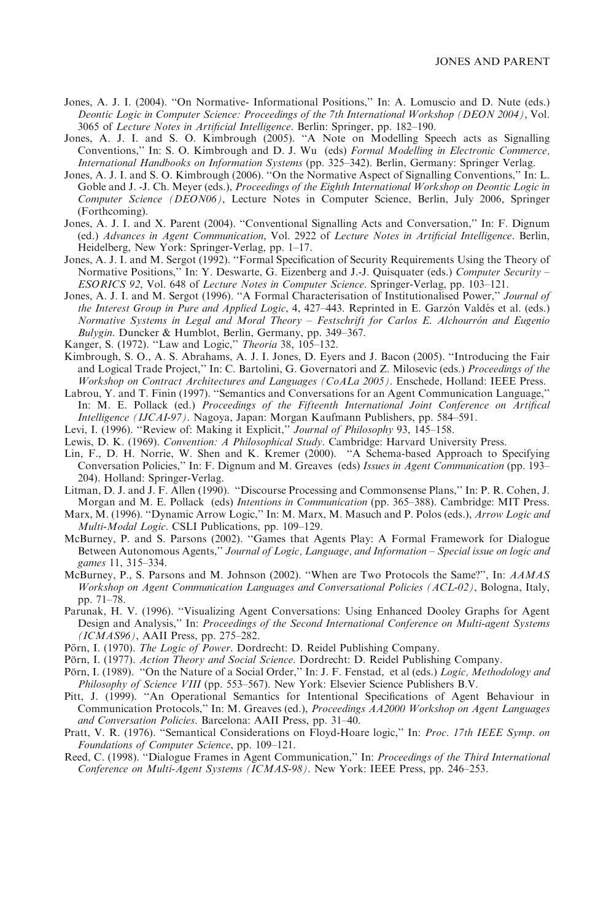- Jones, A. J. I. (2004). ''On Normative- Informational Positions,'' In: A. Lomuscio and D. Nute (eds.) Deontic Logic in Computer Science: Proceedings of the 7th International Workshop (DEON 2004), Vol. 3065 of Lecture Notes in Artificial Intelligence. Berlin: Springer, pp. 182–190.
- Jones, A. J. I. and S. O. Kimbrough (2005). ''A Note on Modelling Speech acts as Signalling Conventions," In: S. O. Kimbrough and D. J. Wu (eds) Formal Modelling in Electronic Commerce, International Handbooks on Information Systems (pp. 325–342). Berlin, Germany: Springer Verlag.
- Jones, A. J. I. and S. O. Kimbrough (2006). ''On the Normative Aspect of Signalling Conventions,'' In: L. Goble and J. -J. Ch. Meyer (eds.), Proceedings of the Eighth International Workshop on Deontic Logic in Computer Science (DEON06), Lecture Notes in Computer Science, Berlin, July 2006, Springer (Forthcoming).
- Jones, A. J. I. and X. Parent (2004). ''Conventional Signalling Acts and Conversation,'' In: F. Dignum (ed.) Advances in Agent Communication, Vol. 2922 of Lecture Notes in Artificial Intelligence. Berlin, Heidelberg, New York: Springer-Verlag, pp. 1–17.
- Jones, A. J. I. and M. Sergot (1992). ''Formal Specification of Security Requirements Using the Theory of Normative Positions,'' In: Y. Deswarte, G. Eizenberg and J.-J. Quisquater (eds.) Computer Security – ESORICS 92, Vol. 648 of Lecture Notes in Computer Science. Springer-Verlag, pp. 103–121.
- Jones, A. J. I. and M. Sergot (1996). "A Formal Characterisation of Institutionalised Power," Journal of the Interest Group in Pure and Applied Logic, 4, 427-443. Reprinted in E. Garzón Valdés et al. (eds.) Normative Systems in Legal and Moral Theory - Festschrift for Carlos E. Alchourrón and Eugenio Bulygin. Duncker & Humblot, Berlin, Germany, pp. 349–367.
- Kanger, S. (1972). "Law and Logic," Theoria 38, 105-132.
- Kimbrough, S. O., A. S. Abrahams, A. J. I. Jones, D. Eyers and J. Bacon (2005). ''Introducing the Fair and Logical Trade Project," In: C. Bartolini, G. Governatori and Z. Milosevic (eds.) Proceedings of the Workshop on Contract Architectures and Languages (CoALa 2005). Enschede, Holland: IEEE Press.
- Labrou, Y. and T. Finin (1997). ''Semantics and Conversations for an Agent Communication Language,'' In: M. E. Pollack (ed.) Proceedings of the Fifteenth International Joint Conference on Artifical Intelligence (IJCAI-97). Nagoya, Japan: Morgan Kaufmann Publishers, pp. 584–591.
- Levi, I. (1996). "Review of: Making it Explicit," Journal of Philosophy 93, 145-158.
- Lewis, D. K. (1969). Convention: A Philosophical Study. Cambridge: Harvard University Press.
- Lin, F., D. H. Norrie, W. Shen and K. Kremer (2000). ''A Schema-based Approach to Specifying Conversation Policies," In: F. Dignum and M. Greaves (eds) Issues in Agent Communication (pp. 193– 204). Holland: Springer-Verlag.
- Litman, D. J. and J. F. Allen (1990). ''Discourse Processing and Commonsense Plans,'' In: P. R. Cohen, J. Morgan and M. E. Pollack (eds) *Intentions in Communication* (pp. 365–388). Cambridge: MIT Press.
- Marx, M. (1996). "Dynamic Arrow Logic," In: M. Marx, M. Masuch and P. Polos (eds.), Arrow Logic and Multi-Modal Logic. CSLI Publications, pp. 109–129.
- McBurney, P. and S. Parsons (2002). ''Games that Agents Play: A Formal Framework for Dialogue Between Autonomous Agents,'' Journal of Logic, Language, and Information – Special issue on logic and games 11, 315–334.
- McBurney, P., S. Parsons and M. Johnson (2002). ''When are Two Protocols the Same?'', In: AAMAS Workshop on Agent Communication Languages and Conversational Policies (ACL-02), Bologna, Italy, pp. 71–78.
- Parunak, H. V. (1996). ''Visualizing Agent Conversations: Using Enhanced Dooley Graphs for Agent Design and Analysis,'' In: Proceedings of the Second International Conference on Multi-agent Systems (ICMAS96), AAII Press, pp. 275–282.
- Pörn, I. (1970). The Logic of Power. Dordrecht: D. Reidel Publishing Company.
- Pörn, I. (1977). Action Theory and Social Science. Dordrecht: D. Reidel Publishing Company.
- Pörn, I. (1989). "On the Nature of a Social Order," In: J. F. Fenstad, et al (eds.) Logic, Methodology and Philosophy of Science VIII (pp. 553–567). New York: Elsevier Science Publishers B.V.
- Pitt, J. (1999). ''An Operational Semantics for Intentional Specifications of Agent Behaviour in Communication Protocols,'' In: M. Greaves (ed.), Proceedings AA2000 Workshop on Agent Languages and Conversation Policies. Barcelona: AAII Press, pp. 31–40.
- Pratt, V. R. (1976). "Semantical Considerations on Floyd-Hoare logic," In: Proc. 17th IEEE Symp. on Foundations of Computer Science, pp. 109–121.
- Reed, C. (1998). "Dialogue Frames in Agent Communication," In: *Proceedings of the Third International* Conference on Multi-Agent Systems (ICMAS-98). New York: IEEE Press, pp. 246–253.